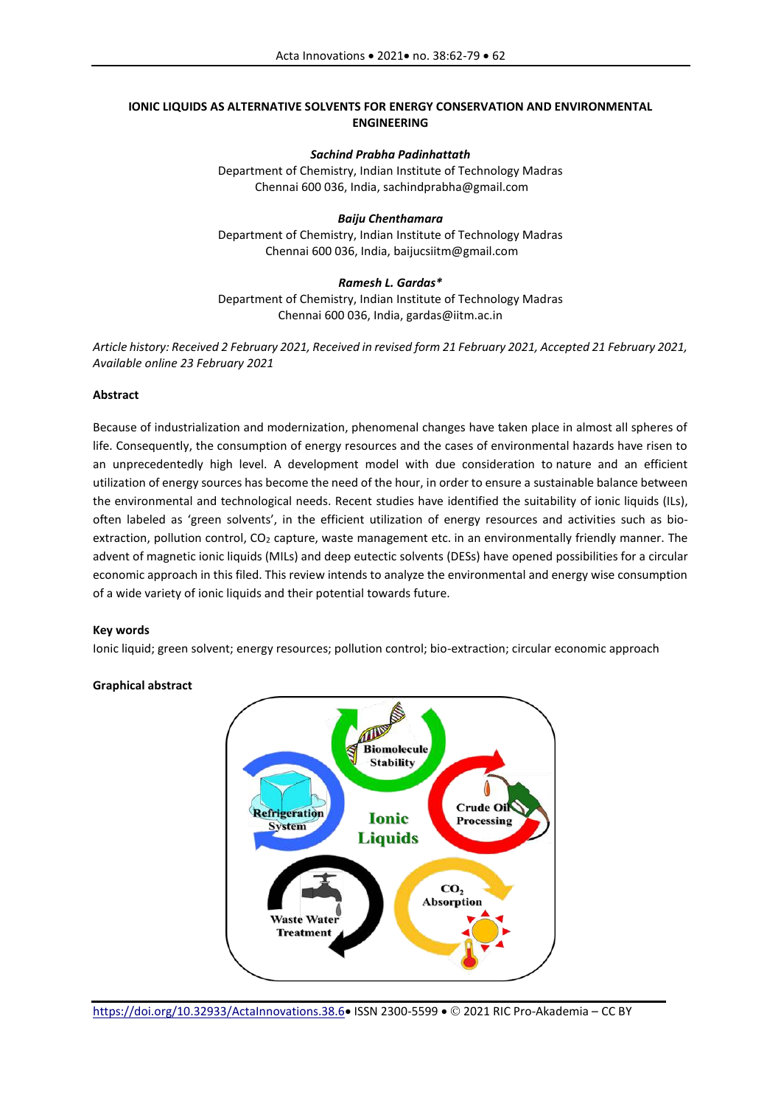# **IONIC LIQUIDS AS ALTERNATIVE SOLVENTS FOR ENERGY CONSERVATION AND ENVIRONMENTAL ENGINEERING**

## *Sachind Prabha Padinhattath*

Department of Chemistry, Indian Institute of Technology Madras Chennai 600 036, India, sachindprabha@gmail.com

### *Baiju Chenthamara*  Department of Chemistry, Indian Institute of Technology Madras Chennai 600 036, India, baijucsiitm@gmail.com

## *Ramesh L. Gardas\**  Department of Chemistry, Indian Institute of Technology Madras Chennai 600 036, India, gardas@iitm.ac.in

*Article history: Received 2 February 2021, Received in revised form 21 February 2021, Accepted 21 February 2021, Available online 23 February 2021*

# **Abstract**

Because of industrialization and modernization, phenomenal changes have taken place in almost all spheres of life. Consequently, the consumption of energy resources and the cases of environmental hazards have risen to an unprecedentedly high level. A development model with due consideration to nature and an efficient utilization of energy sources has become the need of the hour, in order to ensure a sustainable balance between the environmental and technological needs. Recent studies have identified the suitability of ionic liquids (ILs), often labeled as 'green solvents', in the efficient utilization of energy resources and activities such as bioextraction, pollution control, CO<sub>2</sub> capture, waste management etc. in an environmentally friendly manner. The advent of magnetic ionic liquids (MILs) and deep eutectic solvents (DESs) have opened possibilities for a circular economic approach in this filed. This review intends to analyze the environmental and energy wise consumption of a wide variety of ionic liquids and their potential towards future.

## **Key words**

Ionic liquid; green solvent; energy resources; pollution control; bio-extraction; circular economic approach

# **Graphical abstract**

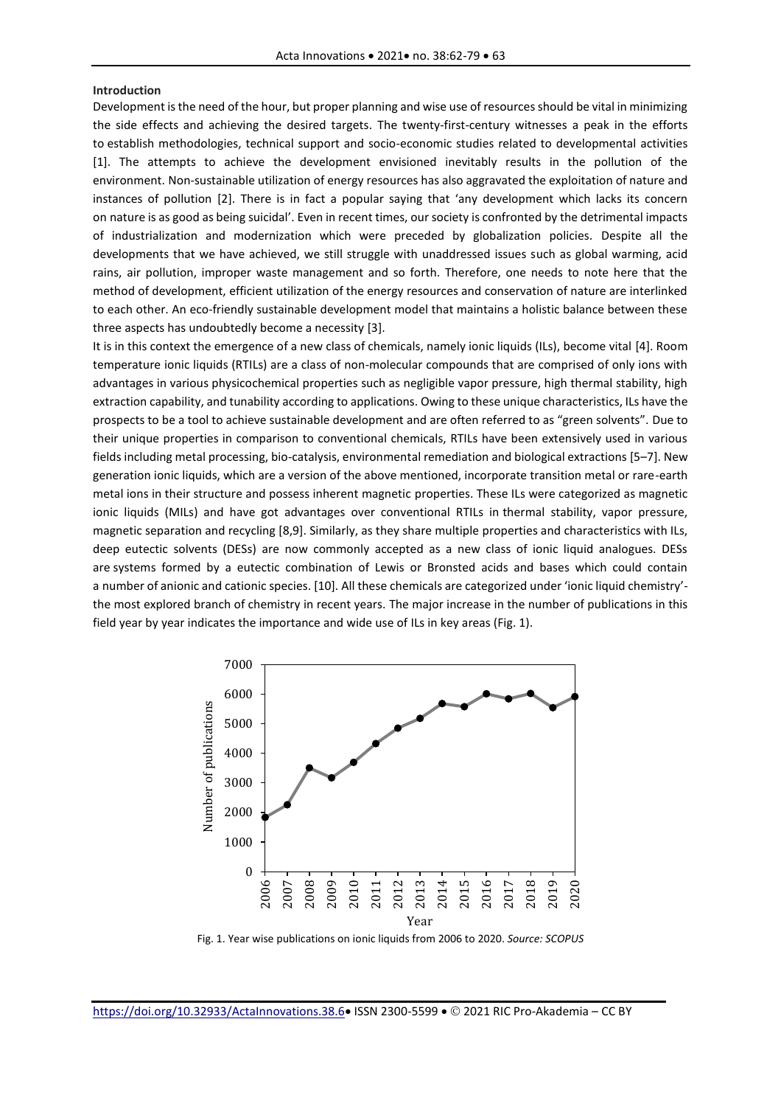#### **Introduction**

Development is the need of the hour, but proper planning and wise use of resources should be vital in minimizing the side effects and achieving the desired targets. The twenty-first-century witnesses a peak in the efforts to establish methodologies, technical support and socio-economic studies related to developmental activities [1]. The attempts to achieve the development envisioned inevitably results in the pollution of the environment. Non-sustainable utilization of energy resources has also aggravated the exploitation of nature and instances of pollution [2]. There is in fact a popular saying that 'any development which lacks its concern on nature is as good as being suicidal'. Even in recent times, our society is confronted by the detrimental impacts of industrialization and modernization which were preceded by globalization policies. Despite all the developments that we have achieved, we still struggle with unaddressed issues such as global warming, acid rains, air pollution, improper waste management and so forth. Therefore, one needs to note here that the method of development, efficient utilization of the energy resources and conservation of nature are interlinked to each other. An eco-friendly sustainable development model that maintains a holistic balance between these three aspects has undoubtedly become a necessity [3].

It is in this context the emergence of a new class of chemicals, namely ionic liquids (ILs), become vital [4]. Room temperature ionic liquids (RTILs) are a class of non-molecular compounds that are comprised of only ions with advantages in various physicochemical properties such as negligible vapor pressure, high thermal stability, high extraction capability, and tunability according to applications. Owing to these unique characteristics, ILs have the prospects to be a tool to achieve sustainable development and are often referred to as "green solvents". Due to their unique properties in comparison to conventional chemicals, RTILs have been extensively used in various fields including metal processing, bio-catalysis, environmental remediation and biological extractions [5–7]. New generation ionic liquids, which are a version of the above mentioned, incorporate transition metal or rare-earth metal ions in their structure and possess inherent magnetic properties. These ILs were categorized as magnetic ionic liquids (MILs) and have got advantages over conventional RTILs in thermal stability, vapor pressure, magnetic separation and recycling [8,9]. Similarly, as they share multiple properties and characteristics with ILs, deep eutectic solvents (DESs) are now commonly accepted as a new class of ionic liquid analogues. DESs are systems formed by a eutectic combination of Lewis or Bronsted acids and bases which could contain a number of anionic and cationic species. [10]. All these chemicals are categorized under 'ionic liquid chemistry' the most explored branch of chemistry in recent years. The major increase in the number of publications in this field year by year indicates the importance and wide use of ILs in key areas (Fig. 1).



Fig. 1. Year wise publications on ionic liquids from 2006 to 2020. *Source: SCOPUS*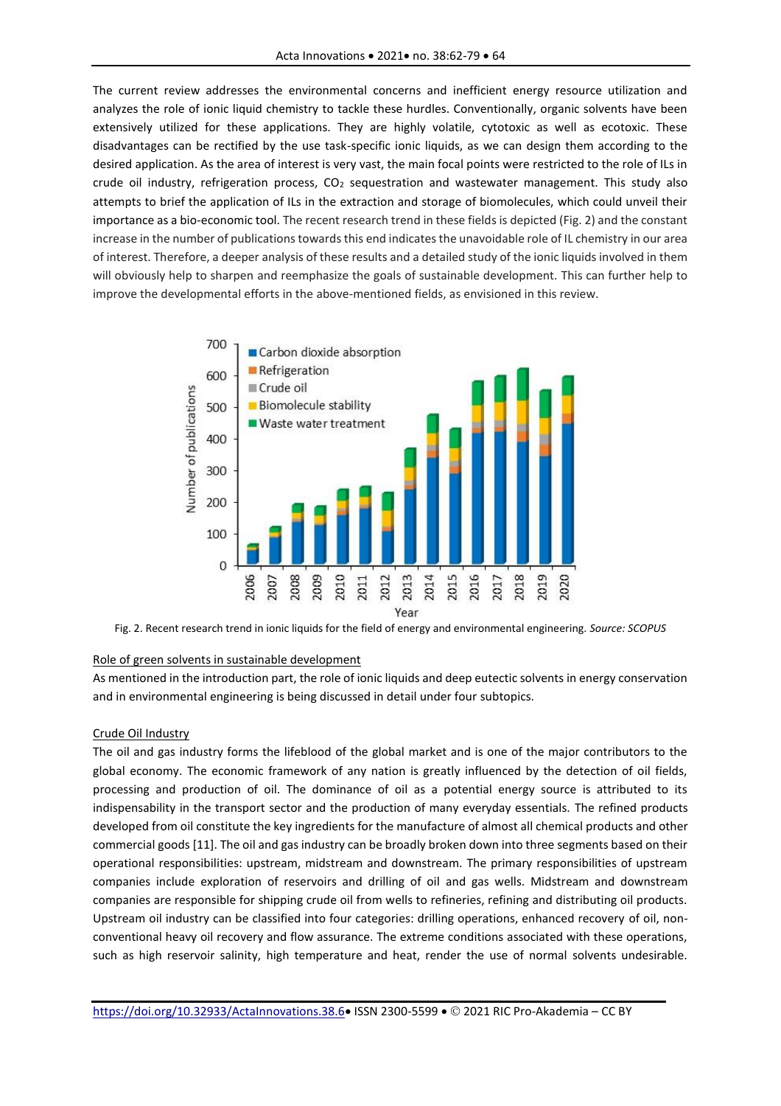The current review addresses the environmental concerns and inefficient energy resource utilization and analyzes the role of ionic liquid chemistry to tackle these hurdles. Conventionally, organic solvents have been extensively utilized for these applications. They are highly volatile, cytotoxic as well as ecotoxic. These disadvantages can be rectified by the use task-specific ionic liquids, as we can design them according to the desired application. As the area of interest is very vast, the main focal points were restricted to the role of ILs in crude oil industry, refrigeration process,  $CO<sub>2</sub>$  sequestration and wastewater management. This study also attempts to brief the application of ILs in the extraction and storage of biomolecules, which could unveil their importance as a bio-economic tool. The recent research trend in these fields is depicted (Fig. 2) and the constant increase in the number of publications towards this end indicates the unavoidable role of IL chemistry in our area of interest. Therefore, a deeper analysis of these results and a detailed study of the ionic liquids involved in them will obviously help to sharpen and reemphasize the goals of sustainable development. This can further help to improve the developmental efforts in the above-mentioned fields, as envisioned in this review.



Fig. 2. Recent research trend in ionic liquids for the field of energy and environmental engineering. *Source: SCOPUS*

### Role of green solvents in sustainable development

As mentioned in the introduction part, the role of ionic liquids and deep eutectic solvents in energy conservation and in environmental engineering is being discussed in detail under four subtopics.

#### Crude Oil Industry

The oil and gas industry forms the lifeblood of the global market and is one of the major contributors to the global economy. The economic framework of any nation is greatly influenced by the detection of oil fields, processing and production of oil. The dominance of oil as a potential energy source is attributed to its indispensability in the transport sector and the production of many everyday essentials. The refined products developed from oil constitute the key ingredients for the manufacture of almost all chemical products and other commercial goods [11]. The oil and gas industry can be broadly broken down into three segments based on their operational responsibilities: upstream, midstream and downstream. The primary responsibilities of upstream companies include exploration of reservoirs and drilling of oil and gas wells. Midstream and downstream companies are responsible for shipping crude oil from wells to refineries, refining and distributing oil products. Upstream oil industry can be classified into four categories: drilling operations, enhanced recovery of oil, nonconventional heavy oil recovery and flow assurance. The extreme conditions associated with these operations, such as high reservoir salinity, high temperature and heat, render the use of normal solvents undesirable.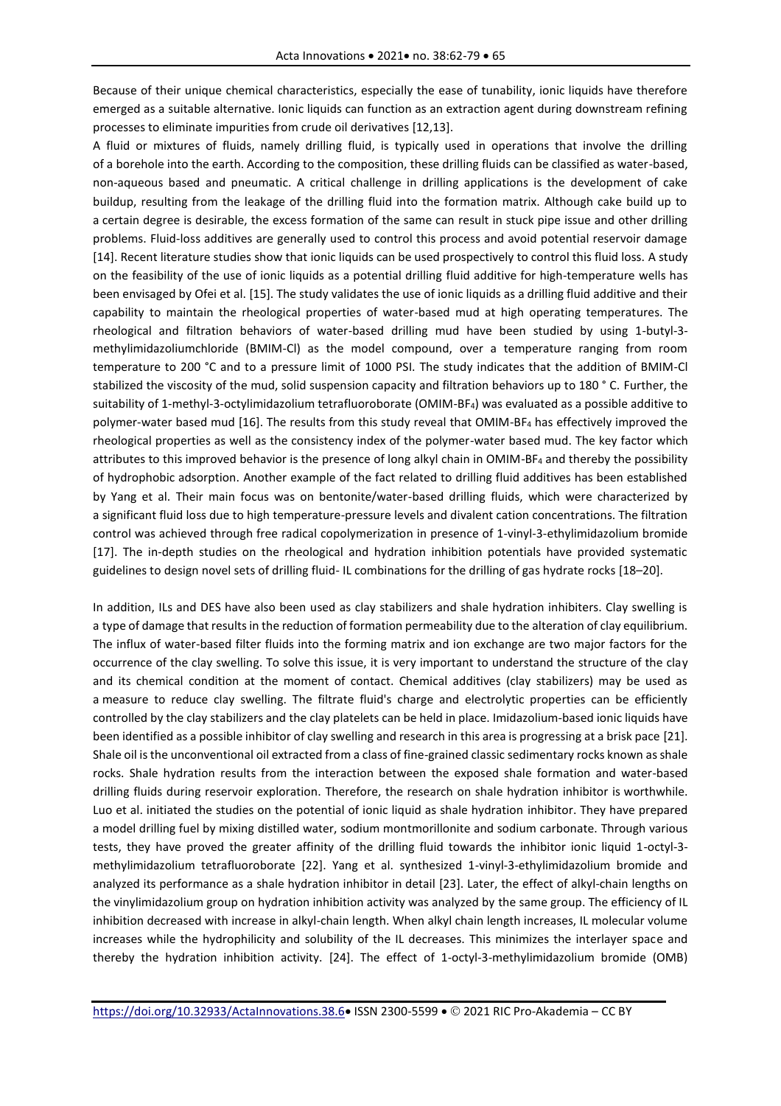Because of their unique chemical characteristics, especially the ease of tunability, ionic liquids have therefore emerged as a suitable alternative. Ionic liquids can function as an extraction agent during downstream refining processes to eliminate impurities from crude oil derivatives [12,13].

A fluid or mixtures of fluids, namely drilling fluid, is typically used in operations that involve the drilling of a borehole into the earth. According to the composition, these drilling fluids can be classified as water-based, non-aqueous based and pneumatic. A critical challenge in drilling applications is the development of cake buildup, resulting from the leakage of the drilling fluid into the formation matrix. Although cake build up to a certain degree is desirable, the excess formation of the same can result in stuck pipe issue and other drilling problems. Fluid-loss additives are generally used to control this process and avoid potential reservoir damage [14]. Recent literature studies show that ionic liquids can be used prospectively to control this fluid loss. A study on the feasibility of the use of ionic liquids as a potential drilling fluid additive for high-temperature wells has been envisaged by Ofei et al. [15]. The study validates the use of ionic liquids as a drilling fluid additive and their capability to maintain the rheological properties of water-based mud at high operating temperatures. The rheological and filtration behaviors of water-based drilling mud have been studied by using 1-butyl-3 methylimidazoliumchloride (BMIM-Cl) as the model compound, over a temperature ranging from room temperature to 200 °C and to a pressure limit of 1000 PSI. The study indicates that the addition of BMIM-Cl stabilized the viscosity of the mud, solid suspension capacity and filtration behaviors up to 180 ° C. Further, the suitability of 1-methyl-3-octylimidazolium tetrafluoroborate (OMIM-BF4) was evaluated as a possible additive to polymer-water based mud [16]. The results from this study reveal that OMIM-BF4 has effectively improved the rheological properties as well as the consistency index of the polymer-water based mud. The key factor which attributes to this improved behavior is the presence of long alkyl chain in OMIM-BF4 and thereby the possibility of hydrophobic adsorption. Another example of the fact related to drilling fluid additives has been established by Yang et al. Their main focus was on bentonite/water-based drilling fluids, which were characterized by a significant fluid loss due to high temperature-pressure levels and divalent cation concentrations. The filtration control was achieved through free radical copolymerization in presence of 1-vinyl-3-ethylimidazolium bromide [17]. The in-depth studies on the rheological and hydration inhibition potentials have provided systematic guidelines to design novel sets of drilling fluid- IL combinations for the drilling of gas hydrate rocks [18–20].

In addition, ILs and DES have also been used as clay stabilizers and shale hydration inhibiters. Clay swelling is a type of damage that results in the reduction of formation permeability due to the alteration of clay equilibrium. The influx of water-based filter fluids into the forming matrix and ion exchange are two major factors for the occurrence of the clay swelling. To solve this issue, it is very important to understand the structure of the clay and its chemical condition at the moment of contact. Chemical additives (clay stabilizers) may be used as a measure to reduce clay swelling. The filtrate fluid's charge and electrolytic properties can be efficiently controlled by the clay stabilizers and the clay platelets can be held in place. Imidazolium-based ionic liquids have been identified as a possible inhibitor of clay swelling and research in this area is progressing at a brisk pace [21]. Shale oil is the unconventional oil extracted from a class of fine-grained classic sedimentary rocks known as shale rocks. Shale hydration results from the interaction between the exposed shale formation and water-based drilling fluids during reservoir exploration. Therefore, the research on shale hydration inhibitor is worthwhile. Luo et al. initiated the studies on the potential of ionic liquid as shale hydration inhibitor. They have prepared a model drilling fuel by mixing distilled water, sodium montmorillonite and sodium carbonate. Through various tests, they have proved the greater affinity of the drilling fluid towards the inhibitor ionic liquid 1-octyl-3 methylimidazolium tetrafluoroborate [22]. Yang et al. synthesized 1-vinyl-3-ethylimidazolium bromide and analyzed its performance as a shale hydration inhibitor in detail [23]. Later, the effect of alkyl-chain lengths on the vinylimidazolium group on hydration inhibition activity was analyzed by the same group. The efficiency of IL inhibition decreased with increase in alkyl-chain length. When alkyl chain length increases, IL molecular volume increases while the hydrophilicity and solubility of the IL decreases. This minimizes the interlayer space and thereby the hydration inhibition activity. [24]. The effect of 1-octyl-3-methylimidazolium bromide (OMB)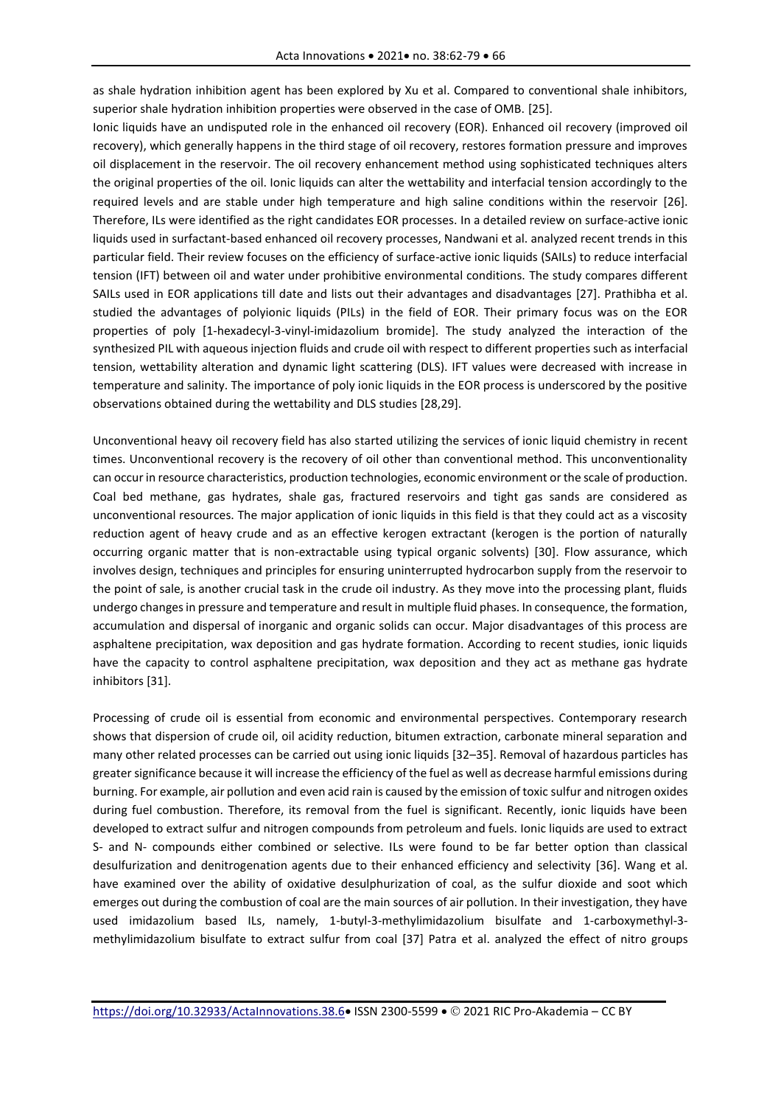as shale hydration inhibition agent has been explored by Xu et al. Compared to conventional shale inhibitors, superior shale hydration inhibition properties were observed in the case of OMB. [25].

Ionic liquids have an undisputed role in the enhanced oil recovery (EOR). Enhanced oil recovery (improved oil recovery), which generally happens in the third stage of oil recovery, restores formation pressure and improves oil displacement in the reservoir. The oil recovery enhancement method using sophisticated techniques alters the original properties of the oil. Ionic liquids can alter the wettability and interfacial tension accordingly to the required levels and are stable under high temperature and high saline conditions within the reservoir [26]. Therefore, ILs were identified as the right candidates EOR processes. In a detailed review on surface-active ionic liquids used in surfactant-based enhanced oil recovery processes, Nandwani et al. analyzed recent trends in this particular field. Their review focuses on the efficiency of surface-active ionic liquids (SAILs) to reduce interfacial tension (IFT) between oil and water under prohibitive environmental conditions. The study compares different SAILs used in EOR applications till date and lists out their advantages and disadvantages [27]. Prathibha et al. studied the advantages of polyionic liquids (PILs) in the field of EOR. Their primary focus was on the EOR properties of poly [1-hexadecyl-3-vinyl-imidazolium bromide]. The study analyzed the interaction of the synthesized PIL with aqueous injection fluids and crude oil with respect to different properties such as interfacial tension, wettability alteration and dynamic light scattering (DLS). IFT values were decreased with increase in temperature and salinity. The importance of poly ionic liquids in the EOR process is underscored by the positive observations obtained during the wettability and DLS studies [28,29].

Unconventional heavy oil recovery field has also started utilizing the services of ionic liquid chemistry in recent times. Unconventional recovery is the recovery of oil other than conventional method. This unconventionality can occur in resource characteristics, production technologies, economic environment or the scale of production. Coal bed methane, gas hydrates, shale gas, fractured reservoirs and tight gas sands are considered as unconventional resources. The major application of ionic liquids in this field is that they could act as a viscosity reduction agent of heavy crude and as an effective kerogen extractant (kerogen is the portion of naturally occurring organic matter that is non-extractable using typical organic solvents) [30]. Flow assurance, which involves design, techniques and principles for ensuring uninterrupted hydrocarbon supply from the reservoir to the point of sale, is another crucial task in the crude oil industry. As they move into the processing plant, fluids undergo changes in pressure and temperature and result in multiple fluid phases. In consequence, the formation, accumulation and dispersal of inorganic and organic solids can occur. Major disadvantages of this process are asphaltene precipitation, wax deposition and gas hydrate formation. According to recent studies, ionic liquids have the capacity to control asphaltene precipitation, wax deposition and they act as methane gas hydrate inhibitors [31].

Processing of crude oil is essential from economic and environmental perspectives. Contemporary research shows that dispersion of crude oil, oil acidity reduction, bitumen extraction, carbonate mineral separation and many other related processes can be carried out using ionic liquids [32–35]. Removal of hazardous particles has greater significance because it will increase the efficiency of the fuel as well as decrease harmful emissions during burning. For example, air pollution and even acid rain is caused by the emission of toxic sulfur and nitrogen oxides during fuel combustion. Therefore, its removal from the fuel is significant. Recently, ionic liquids have been developed to extract sulfur and nitrogen compounds from petroleum and fuels. Ionic liquids are used to extract S- and N- compounds either combined or selective. ILs were found to be far better option than classical desulfurization and denitrogenation agents due to their enhanced efficiency and selectivity [36]. Wang et al. have examined over the ability of oxidative desulphurization of coal, as the sulfur dioxide and soot which emerges out during the combustion of coal are the main sources of air pollution. In their investigation, they have used imidazolium based ILs, namely, 1-butyl-3-methylimidazolium bisulfate and 1-carboxymethyl-3 methylimidazolium bisulfate to extract sulfur from coal [37] Patra et al. analyzed the effect of nitro groups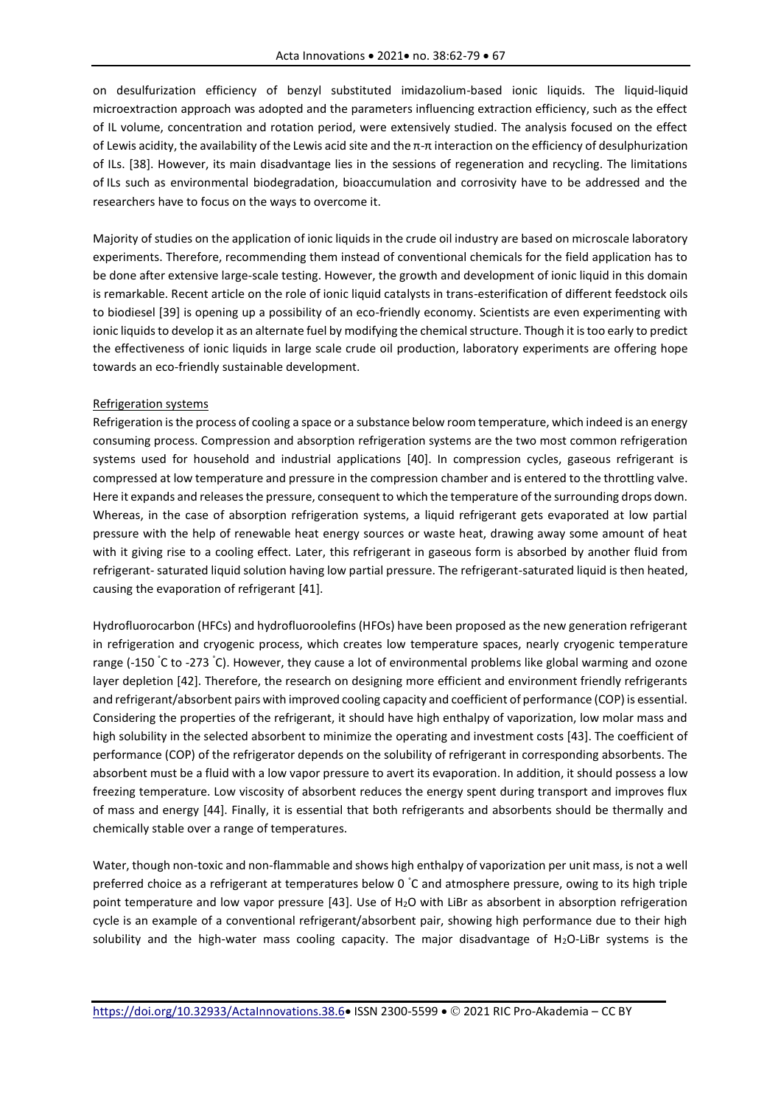on desulfurization efficiency of benzyl substituted imidazolium-based ionic liquids. The liquid-liquid microextraction approach was adopted and the parameters influencing extraction efficiency, such as the effect of IL volume, concentration and rotation period, were extensively studied. The analysis focused on the effect of Lewis acidity, the availability of the Lewis acid site and the π-π interaction on the efficiency of desulphurization of ILs. [38]. However, its main disadvantage lies in the sessions of regeneration and recycling. The limitations of ILs such as environmental biodegradation, bioaccumulation and corrosivity have to be addressed and the researchers have to focus on the ways to overcome it.

Majority of studies on the application of ionic liquids in the crude oil industry are based on microscale laboratory experiments. Therefore, recommending them instead of conventional chemicals for the field application has to be done after extensive large-scale testing. However, the growth and development of ionic liquid in this domain is remarkable. Recent article on the role of ionic liquid catalysts in trans-esterification of different feedstock oils to biodiesel [39] is opening up a possibility of an eco-friendly economy. Scientists are even experimenting with ionic liquids to develop it as an alternate fuel by modifying the chemical structure. Though it is too early to predict the effectiveness of ionic liquids in large scale crude oil production, laboratory experiments are offering hope towards an eco-friendly sustainable development.

#### Refrigeration systems

Refrigeration is the process of cooling a space or a substance below room temperature, which indeed is an energy consuming process. Compression and absorption refrigeration systems are the two most common refrigeration systems used for household and industrial applications [40]. In compression cycles, gaseous refrigerant is compressed at low temperature and pressure in the compression chamber and is entered to the throttling valve. Here it expands and releases the pressure, consequent to which the temperature of the surrounding drops down. Whereas, in the case of absorption refrigeration systems, a liquid refrigerant gets evaporated at low partial pressure with the help of renewable heat energy sources or waste heat, drawing away some amount of heat with it giving rise to a cooling effect. Later, this refrigerant in gaseous form is absorbed by another fluid from refrigerant- saturated liquid solution having low partial pressure. The refrigerant-saturated liquid is then heated, causing the evaporation of refrigerant [41].

Hydrofluorocarbon (HFCs) and hydrofluoroolefins (HFOs) have been proposed as the new generation refrigerant in refrigeration and cryogenic process, which creates low temperature spaces, nearly cryogenic temperature range (-150 °C to -273 °C). However, they cause a lot of environmental problems like global warming and ozone layer depletion [42]. Therefore, the research on designing more efficient and environment friendly refrigerants and refrigerant/absorbent pairs with improved cooling capacity and coefficient of performance (COP) is essential. Considering the properties of the refrigerant, it should have high enthalpy of vaporization, low molar mass and high solubility in the selected absorbent to minimize the operating and investment costs [43]. The coefficient of performance (COP) of the refrigerator depends on the solubility of refrigerant in corresponding absorbents. The absorbent must be a fluid with a low vapor pressure to avert its evaporation. In addition, it should possess a low freezing temperature. Low viscosity of absorbent reduces the energy spent during transport and improves flux of mass and energy [44]. Finally, it is essential that both refrigerants and absorbents should be thermally and chemically stable over a range of temperatures.

Water, though non-toxic and non-flammable and shows high enthalpy of vaporization per unit mass, is not a well preferred choice as a refrigerant at temperatures below 0 °C and atmosphere pressure, owing to its high triple point temperature and low vapor pressure [43]. Use of H2O with LiBr as absorbent in absorption refrigeration cycle is an example of a conventional refrigerant/absorbent pair, showing high performance due to their high solubility and the high-water mass cooling capacity. The major disadvantage of H<sub>2</sub>O-LiBr systems is the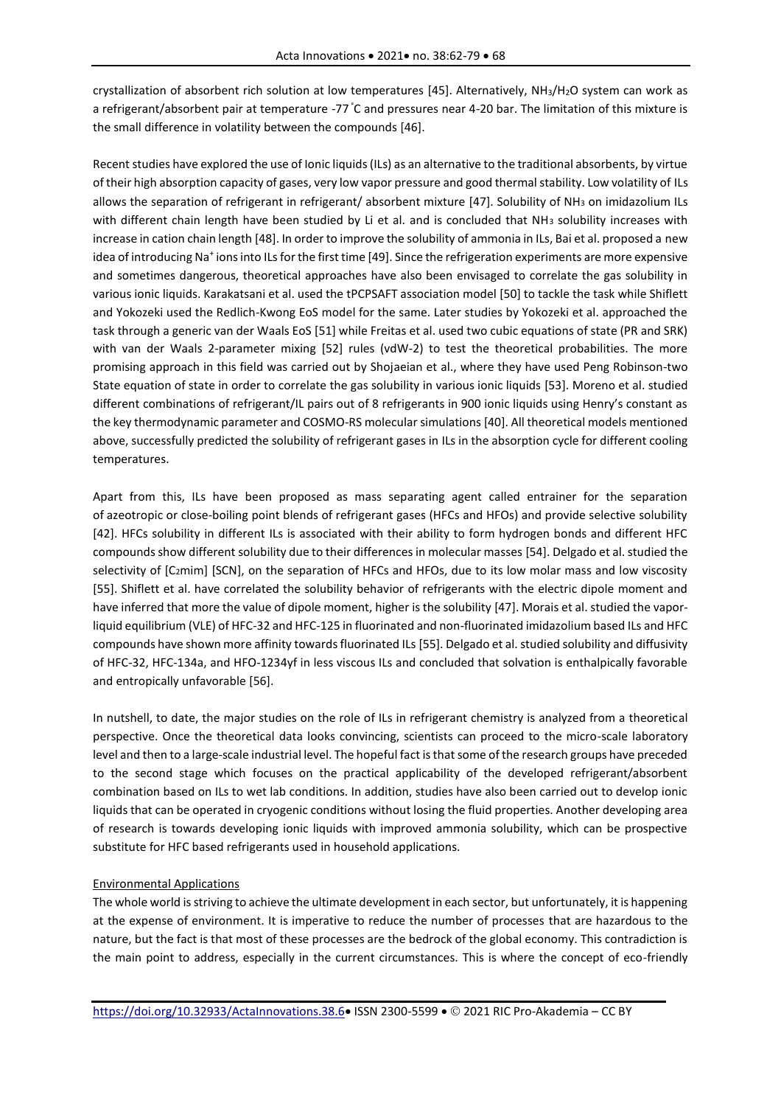crystallization of absorbent rich solution at low temperatures [45]. Alternatively, NH3/H2O system can work as a refrigerant/absorbent pair at temperature -77 °C and pressures near 4-20 bar. The limitation of this mixture is the small difference in volatility between the compounds [46].

Recent studies have explored the use of Ionic liquids (ILs) as an alternative to the traditional absorbents, by virtue of their high absorption capacity of gases, very low vapor pressure and good thermal stability. Low volatility of ILs allows the separation of refrigerant in refrigerant/ absorbent mixture [47]. Solubility of NH<sub>3</sub> on imidazolium ILs with different chain length have been studied by Li et al. and is concluded that NH3 solubility increases with increase in cation chain length [48]. In order to improve the solubility of ammonia in ILs, Bai et al. proposed a new idea of introducing Na<sup>+</sup> ions into ILs for the first time [49]. Since the refrigeration experiments are more expensive and sometimes dangerous, theoretical approaches have also been envisaged to correlate the gas solubility in various ionic liquids. Karakatsani et al. used the tPCPSAFT association model [50] to tackle the task while Shiflett and Yokozeki used the Redlich-Kwong EoS model for the same. Later studies by Yokozeki et al. approached the task through a generic van der Waals EoS [51] while Freitas et al. used two cubic equations of state (PR and SRK) with van der Waals 2-parameter mixing [52] rules (vdW-2) to test the theoretical probabilities. The more promising approach in this field was carried out by Shojaeian et al., where they have used Peng Robinson-two State equation of state in order to correlate the gas solubility in various ionic liquids [53]. Moreno et al. studied different combinations of refrigerant/IL pairs out of 8 refrigerants in 900 ionic liquids using Henry's constant as the key thermodynamic parameter and COSMO-RS molecular simulations [40]. All theoretical models mentioned above, successfully predicted the solubility of refrigerant gases in ILs in the absorption cycle for different cooling temperatures.

Apart from this, ILs have been proposed as mass separating agent called entrainer for the separation of azeotropic or close-boiling point blends of refrigerant gases (HFCs and HFOs) and provide selective solubility [42]. HFCs solubility in different ILs is associated with their ability to form hydrogen bonds and different HFC compounds show different solubility due to their differences in molecular masses [54]. Delgado et al. studied the selectivity of [C<sub>2</sub>mim] [SCN], on the separation of HFCs and HFOs, due to its low molar mass and low viscosity [55]. Shiflett et al. have correlated the solubility behavior of refrigerants with the electric dipole moment and have inferred that more the value of dipole moment, higher is the solubility [47]. Morais et al. studied the vaporliquid equilibrium (VLE) of HFC-32 and HFC-125 in fluorinated and non-fluorinated imidazolium based ILs and HFC compounds have shown more affinity towards fluorinated ILs [55]. Delgado et al. studied solubility and diffusivity of HFC-32, HFC-134a, and HFO-1234yf in less viscous ILs and concluded that solvation is enthalpically favorable and entropically unfavorable [56].

In nutshell, to date, the major studies on the role of ILs in refrigerant chemistry is analyzed from a theoretical perspective. Once the theoretical data looks convincing, scientists can proceed to the micro-scale laboratory level and then to a large-scale industrial level. The hopeful fact is that some of the research groups have preceded to the second stage which focuses on the practical applicability of the developed refrigerant/absorbent combination based on ILs to wet lab conditions. In addition, studies have also been carried out to develop ionic liquids that can be operated in cryogenic conditions without losing the fluid properties. Another developing area of research is towards developing ionic liquids with improved ammonia solubility, which can be prospective substitute for HFC based refrigerants used in household applications.

## Environmental Applications

The whole world is striving to achieve the ultimate development in each sector, but unfortunately, it is happening at the expense of environment. It is imperative to reduce the number of processes that are hazardous to the nature, but the fact is that most of these processes are the bedrock of the global economy. This contradiction is the main point to address, especially in the current circumstances. This is where the concept of eco-friendly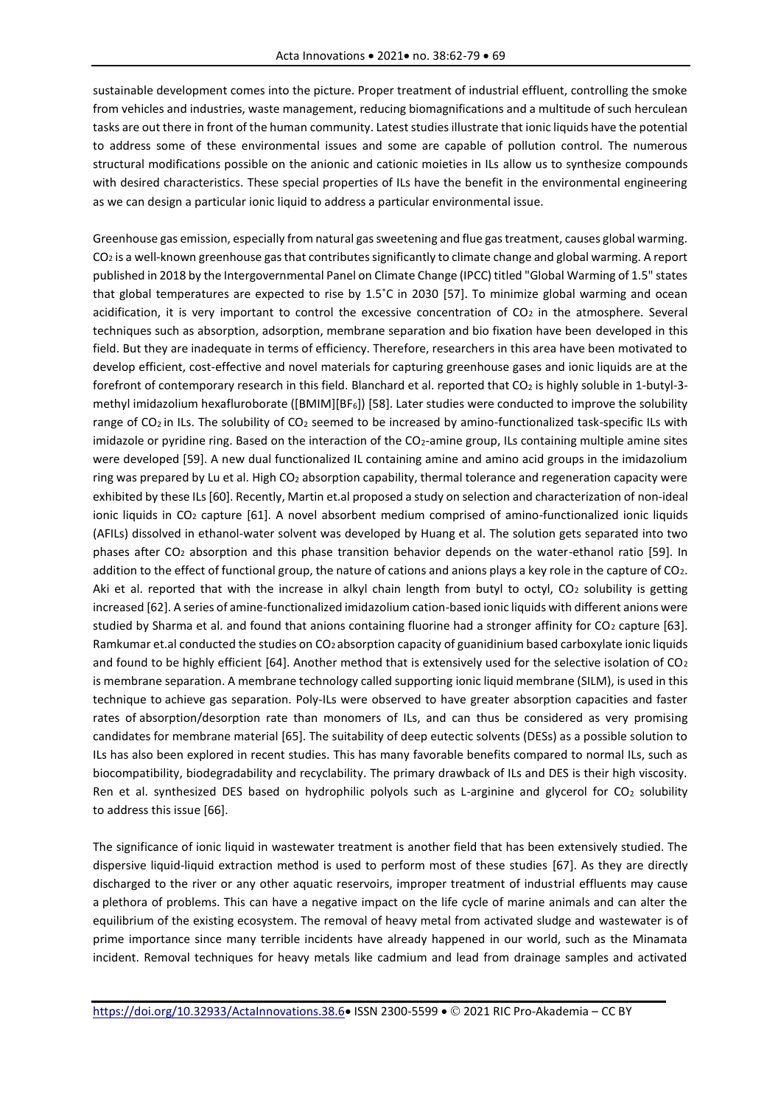sustainable development comes into the picture. Proper treatment of industrial effluent, controlling the smoke from vehicles and industries, waste management, reducing biomagnifications and a multitude of such herculean tasks are out there in front of the human community. Latest studies illustrate that ionic liquids have the potential to address some of these environmental issues and some are capable of pollution control. The numerous structural modifications possible on the anionic and cationic moieties in ILs allow us to synthesize compounds with desired characteristics. These special properties of ILs have the benefit in the environmental engineering as we can design a particular ionic liquid to address a particular environmental issue.

Greenhouse gas emission, especially from natural gas sweetening and flue gas treatment, causes global warming. CO2 is a well-known greenhouse gas that contributes significantly to climate change and global warming. A report published in 2018 by the Intergovernmental Panel on Climate Change (IPCC) titled "Global Warming of 1.5" states that global temperatures are expected to rise by 1.5˚C in 2030 [57]. To minimize global warming and ocean acidification, it is very important to control the excessive concentration of  $CO<sub>2</sub>$  in the atmosphere. Several techniques such as absorption, adsorption, membrane separation and bio fixation have been developed in this field. But they are inadequate in terms of efficiency. Therefore, researchers in this area have been motivated to develop efficient, cost-effective and novel materials for capturing greenhouse gases and ionic liquids are at the forefront of contemporary research in this field. Blanchard et al. reported that CO2 is highly soluble in 1-butyl-3methyl imidazolium hexafluroborate ([BMIM][BF6]) [58]. Later studies were conducted to improve the solubility range of CO<sub>2</sub> in ILs. The solubility of CO<sub>2</sub> seemed to be increased by amino-functionalized task-specific ILs with imidazole or pyridine ring. Based on the interaction of the CO<sub>2</sub>-amine group, ILs containing multiple amine sites were developed [59]. A new dual functionalized IL containing amine and amino acid groups in the imidazolium ring was prepared by Lu et al. High CO2 absorption capability, thermal tolerance and regeneration capacity were exhibited by these ILs [60]. Recently, Martin et.al proposed a study on selection and characterization of non-ideal ionic liquids in CO<sub>2</sub> capture [61]. A novel absorbent medium comprised of amino-functionalized ionic liquids (AFILs) dissolved in ethanol-water solvent was developed by Huang et al. The solution gets separated into two phases after CO2 absorption and this phase transition behavior depends on the water-ethanol ratio [59]. In addition to the effect of functional group, the nature of cations and anions plays a key role in the capture of CO2. Aki et al. reported that with the increase in alkyl chain length from butyl to octyl,  $CO<sub>2</sub>$  solubility is getting increased [62]. A series of amine-functionalized imidazolium cation-based ionic liquids with different anions were studied by Sharma et al. and found that anions containing fluorine had a stronger affinity for  $CO<sub>2</sub>$  capture [63]. Ramkumar et.al conducted the studies on CO<sub>2</sub> absorption capacity of guanidinium based carboxylate ionic liquids and found to be highly efficient [64]. Another method that is extensively used for the selective isolation of  $CO<sub>2</sub>$ is membrane separation. A membrane technology called supporting ionic liquid membrane (SILM), is used in this technique to achieve gas separation. Poly-ILs were observed to have greater absorption capacities and faster rates of absorption/desorption rate than monomers of ILs, and can thus be considered as very promising candidates for membrane material [65]. The suitability of deep eutectic solvents (DESs) as a possible solution to ILs has also been explored in recent studies. This has many favorable benefits compared to normal ILs, such as biocompatibility, biodegradability and recyclability. The primary drawback of ILs and DES is their high viscosity. Ren et al. synthesized DES based on hydrophilic polyols such as L-arginine and glycerol for CO<sub>2</sub> solubility to address this issue [66].

The significance of ionic liquid in wastewater treatment is another field that has been extensively studied. The dispersive liquid-liquid extraction method is used to perform most of these studies [67]. As they are directly discharged to the river or any other aquatic reservoirs, improper treatment of industrial effluents may cause a plethora of problems. This can have a negative impact on the life cycle of marine animals and can alter the equilibrium of the existing ecosystem. The removal of heavy metal from activated sludge and wastewater is of prime importance since many terrible incidents have already happened in our world, such as the Minamata incident. Removal techniques for heavy metals like cadmium and lead from drainage samples and activated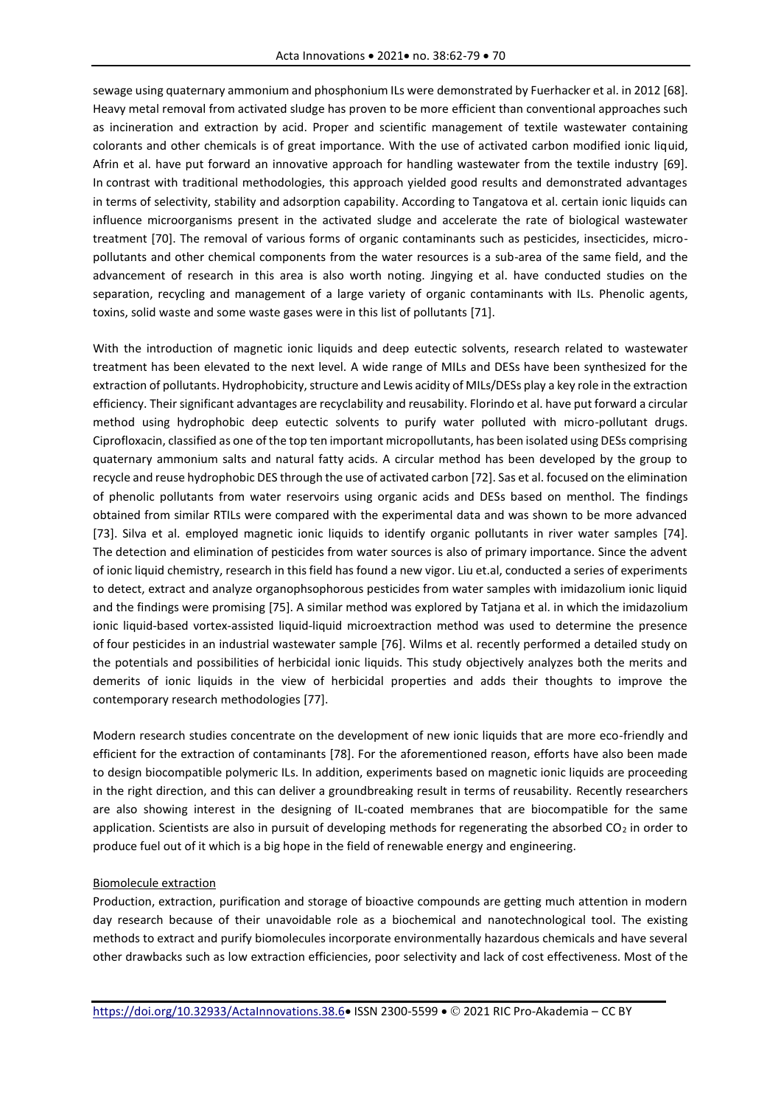sewage using quaternary ammonium and phosphonium ILs were demonstrated by Fuerhacker et al. in 2012 [68]. Heavy metal removal from activated sludge has proven to be more efficient than conventional approaches such as incineration and extraction by acid. Proper and scientific management of textile wastewater containing colorants and other chemicals is of great importance. With the use of activated carbon modified ionic liquid, Afrin et al. have put forward an innovative approach for handling wastewater from the textile industry [69]. In contrast with traditional methodologies, this approach yielded good results and demonstrated advantages in terms of selectivity, stability and adsorption capability. According to Tangatova et al. certain ionic liquids can influence microorganisms present in the activated sludge and accelerate the rate of biological wastewater treatment [70]. The removal of various forms of organic contaminants such as pesticides, insecticides, micropollutants and other chemical components from the water resources is a sub-area of the same field, and the advancement of research in this area is also worth noting. Jingying et al. have conducted studies on the separation, recycling and management of a large variety of organic contaminants with ILs. Phenolic agents, toxins, solid waste and some waste gases were in this list of pollutants [71].

With the introduction of magnetic ionic liquids and deep eutectic solvents, research related to wastewater treatment has been elevated to the next level. A wide range of MILs and DESs have been synthesized for the extraction of pollutants. Hydrophobicity, structure and Lewis acidity of MILs/DESs play a key role in the extraction efficiency. Their significant advantages are recyclability and reusability. Florindo et al. have put forward a circular method using hydrophobic deep eutectic solvents to purify water polluted with micro-pollutant drugs. Ciprofloxacin, classified as one of the top ten important micropollutants, has been isolated using DESs comprising quaternary ammonium salts and natural fatty acids. A circular method has been developed by the group to recycle and reuse hydrophobic DES through the use of activated carbon [72]. Sas et al. focused on the elimination of phenolic pollutants from water reservoirs using organic acids and DESs based on menthol. The findings obtained from similar RTILs were compared with the experimental data and was shown to be more advanced [73]. Silva et al. employed magnetic ionic liquids to identify organic pollutants in river water samples [74]. The detection and elimination of pesticides from water sources is also of primary importance. Since the advent of ionic liquid chemistry, research in this field has found a new vigor. Liu et.al, conducted a series of experiments to detect, extract and analyze organophsophorous pesticides from water samples with imidazolium ionic liquid and the findings were promising [75]. A similar method was explored by Tatjana et al. in which the imidazolium ionic liquid-based vortex-assisted liquid-liquid microextraction method was used to determine the presence of four pesticides in an industrial wastewater sample [76]. Wilms et al. recently performed a detailed study on the potentials and possibilities of herbicidal ionic liquids. This study objectively analyzes both the merits and demerits of ionic liquids in the view of herbicidal properties and adds their thoughts to improve the contemporary research methodologies [77].

Modern research studies concentrate on the development of new ionic liquids that are more eco-friendly and efficient for the extraction of contaminants [78]. For the aforementioned reason, efforts have also been made to design biocompatible polymeric ILs. In addition, experiments based on magnetic ionic liquids are proceeding in the right direction, and this can deliver a groundbreaking result in terms of reusability. Recently researchers are also showing interest in the designing of IL-coated membranes that are biocompatible for the same application. Scientists are also in pursuit of developing methods for regenerating the absorbed  $CO<sub>2</sub>$  in order to produce fuel out of it which is a big hope in the field of renewable energy and engineering.

#### Biomolecule extraction

Production, extraction, purification and storage of bioactive compounds are getting much attention in modern day research because of their unavoidable role as a biochemical and nanotechnological tool. The existing methods to extract and purify biomolecules incorporate environmentally hazardous chemicals and have several other drawbacks such as low extraction efficiencies, poor selectivity and lack of cost effectiveness. Most of the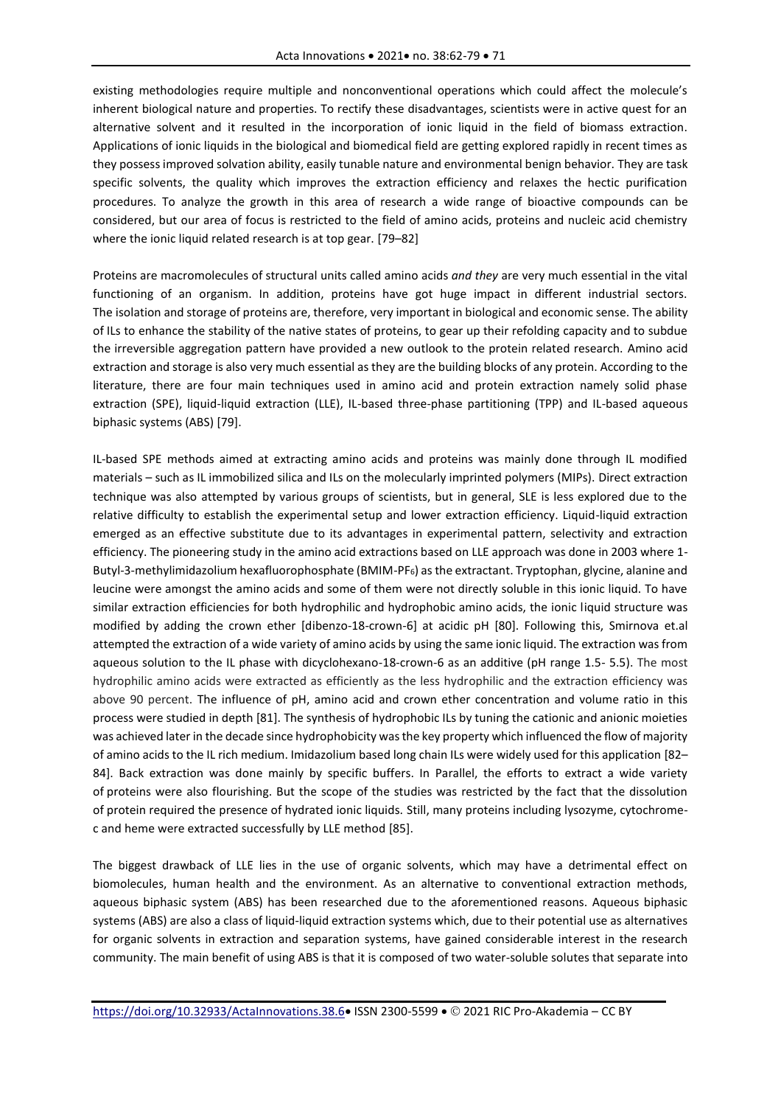existing methodologies require multiple and nonconventional operations which could affect the molecule's inherent biological nature and properties. To rectify these disadvantages, scientists were in active quest for an alternative solvent and it resulted in the incorporation of ionic liquid in the field of biomass extraction. Applications of ionic liquids in the biological and biomedical field are getting explored rapidly in recent times as they possess improved solvation ability, easily tunable nature and environmental benign behavior. They are task specific solvents, the quality which improves the extraction efficiency and relaxes the hectic purification procedures. To analyze the growth in this area of research a wide range of bioactive compounds can be considered, but our area of focus is restricted to the field of amino acids, proteins and nucleic acid chemistry where the ionic liquid related research is at top gear. [79–82]

Proteins are macromolecules of structural units called amino acids *and they* are very much essential in the vital functioning of an organism. In addition, proteins have got huge impact in different industrial sectors. The isolation and storage of proteins are, therefore, very important in biological and economic sense. The ability of ILs to enhance the stability of the native states of proteins, to gear up their refolding capacity and to subdue the irreversible aggregation pattern have provided a new outlook to the protein related research. Amino acid extraction and storage is also very much essential as they are the building blocks of any protein. According to the literature, there are four main techniques used in amino acid and protein extraction namely solid phase extraction (SPE), liquid-liquid extraction (LLE), IL-based three-phase partitioning (TPP) and IL-based aqueous biphasic systems (ABS) [79].

IL-based SPE methods aimed at extracting amino acids and proteins was mainly done through IL modified materials – such as IL immobilized silica and ILs on the molecularly imprinted polymers (MIPs). Direct extraction technique was also attempted by various groups of scientists, but in general, SLE is less explored due to the relative difficulty to establish the experimental setup and lower extraction efficiency. Liquid-liquid extraction emerged as an effective substitute due to its advantages in experimental pattern, selectivity and extraction efficiency. The pioneering study in the amino acid extractions based on LLE approach was done in 2003 where 1- Butyl-3-methylimidazolium hexafluorophosphate (BMIM-PF6) as the extractant. Tryptophan, glycine, alanine and leucine were amongst the amino acids and some of them were not directly soluble in this ionic liquid. To have similar extraction efficiencies for both hydrophilic and hydrophobic amino acids, the ionic liquid structure was modified by adding the crown ether [dibenzo-18-crown-6] at acidic pH [80]. Following this, Smirnova et.al attempted the extraction of a wide variety of amino acids by using the same ionic liquid. The extraction was from aqueous solution to the IL phase with dicyclohexano-18-crown-6 as an additive (pH range 1.5- 5.5). The most hydrophilic amino acids were extracted as efficiently as the less hydrophilic and the extraction efficiency was above 90 percent. The influence of pH, amino acid and crown ether concentration and volume ratio in this process were studied in depth [81]. The synthesis of hydrophobic ILs by tuning the cationic and anionic moieties was achieved later in the decade since hydrophobicity was the key property which influenced the flow of majority of amino acids to the IL rich medium. Imidazolium based long chain ILs were widely used for this application [82– 84]. Back extraction was done mainly by specific buffers. In Parallel, the efforts to extract a wide variety of proteins were also flourishing. But the scope of the studies was restricted by the fact that the dissolution of protein required the presence of hydrated ionic liquids. Still, many proteins including lysozyme, cytochromec and heme were extracted successfully by LLE method [85].

The biggest drawback of LLE lies in the use of organic solvents, which may have a detrimental effect on biomolecules, human health and the environment. As an alternative to conventional extraction methods, aqueous biphasic system (ABS) has been researched due to the aforementioned reasons. Aqueous biphasic systems (ABS) are also a class of liquid-liquid extraction systems which, due to their potential use as alternatives for organic solvents in extraction and separation systems, have gained considerable interest in the research community. The main benefit of using ABS is that it is composed of two water-soluble solutes that separate into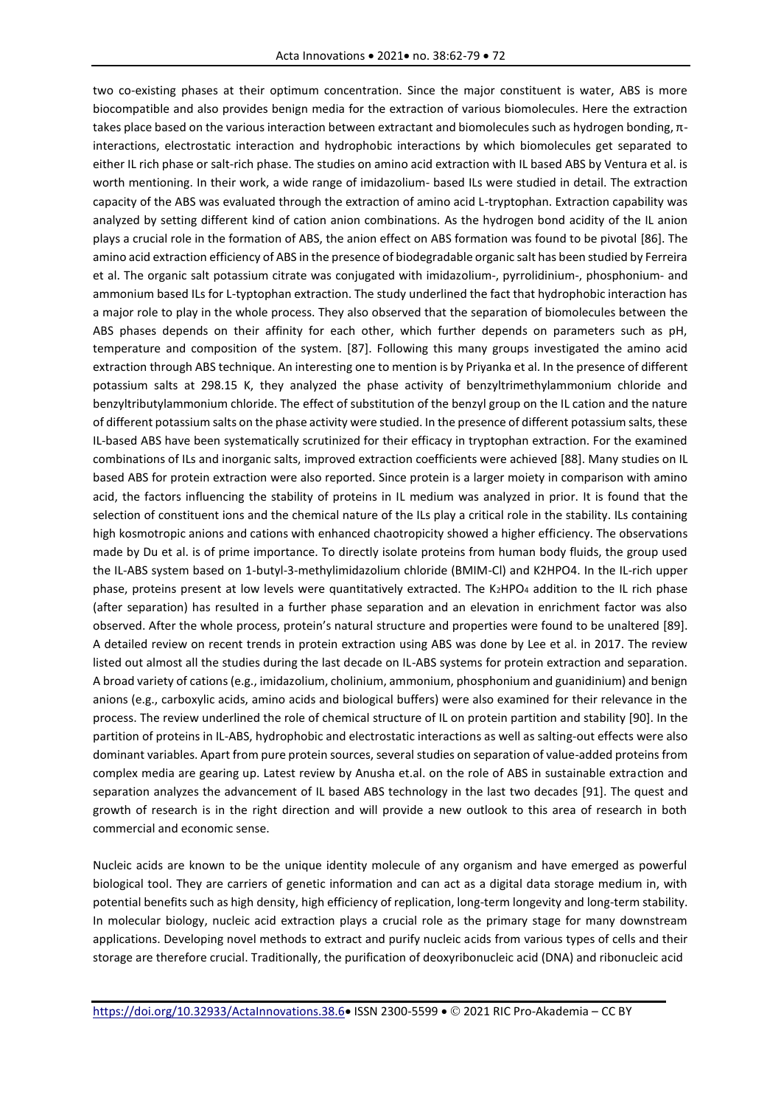two co-existing phases at their optimum concentration. Since the major constituent is water, ABS is more biocompatible and also provides benign media for the extraction of various biomolecules. Here the extraction takes place based on the various interaction between extractant and biomolecules such as hydrogen bonding, πinteractions, electrostatic interaction and hydrophobic interactions by which biomolecules get separated to either IL rich phase or salt-rich phase. The studies on amino acid extraction with IL based ABS by Ventura et al. is worth mentioning. In their work, a wide range of imidazolium- based ILs were studied in detail. The extraction capacity of the ABS was evaluated through the extraction of amino acid L-tryptophan. Extraction capability was analyzed by setting different kind of cation anion combinations. As the hydrogen bond acidity of the IL anion plays a crucial role in the formation of ABS, the anion effect on ABS formation was found to be pivotal [86]. The amino acid extraction efficiency of ABS in the presence of biodegradable organic salt has been studied by Ferreira et al. The organic salt potassium citrate was conjugated with imidazolium-, pyrrolidinium-, phosphonium- and ammonium based ILs for L-typtophan extraction. The study underlined the fact that hydrophobic interaction has a major role to play in the whole process. They also observed that the separation of biomolecules between the ABS phases depends on their affinity for each other, which further depends on parameters such as pH, temperature and composition of the system. [87]. Following this many groups investigated the amino acid extraction through ABS technique. An interesting one to mention is by Priyanka et al. In the presence of different potassium salts at 298.15 K, they analyzed the phase activity of benzyltrimethylammonium chloride and benzyltributylammonium chloride. The effect of substitution of the benzyl group on the IL cation and the nature of different potassium salts on the phase activity were studied. In the presence of different potassium salts, these IL-based ABS have been systematically scrutinized for their efficacy in tryptophan extraction. For the examined combinations of ILs and inorganic salts, improved extraction coefficients were achieved [88]. Many studies on IL based ABS for protein extraction were also reported. Since protein is a larger moiety in comparison with amino acid, the factors influencing the stability of proteins in IL medium was analyzed in prior. It is found that the selection of constituent ions and the chemical nature of the ILs play a critical role in the stability. ILs containing high kosmotropic anions and cations with enhanced chaotropicity showed a higher efficiency. The observations made by Du et al. is of prime importance. To directly isolate proteins from human body fluids, the group used the IL-ABS system based on 1-butyl-3-methylimidazolium chloride (BMIM-Cl) and K2HPO4. In the IL-rich upper phase, proteins present at low levels were quantitatively extracted. The K2HPO4 addition to the IL rich phase (after separation) has resulted in a further phase separation and an elevation in enrichment factor was also observed. After the whole process, protein's natural structure and properties were found to be unaltered [89]. A detailed review on recent trends in protein extraction using ABS was done by Lee et al. in 2017. The review listed out almost all the studies during the last decade on IL-ABS systems for protein extraction and separation. A broad variety of cations (e.g., imidazolium, cholinium, ammonium, phosphonium and guanidinium) and benign anions (e.g., carboxylic acids, amino acids and biological buffers) were also examined for their relevance in the process. The review underlined the role of chemical structure of IL on protein partition and stability [90]. In the partition of proteins in IL-ABS, hydrophobic and electrostatic interactions as well as salting-out effects were also dominant variables. Apart from pure protein sources, several studies on separation of value-added proteins from complex media are gearing up. Latest review by Anusha et.al. on the role of ABS in sustainable extraction and separation analyzes the advancement of IL based ABS technology in the last two decades [91]. The quest and growth of research is in the right direction and will provide a new outlook to this area of research in both commercial and economic sense.

Nucleic acids are known to be the unique identity molecule of any organism and have emerged as powerful biological tool. They are carriers of genetic information and can act as a digital data storage medium in, with potential benefits such as high density, high efficiency of replication, long-term longevity and long-term stability. In molecular biology, nucleic acid extraction plays a crucial role as the primary stage for many downstream applications. Developing novel methods to extract and purify nucleic acids from various types of cells and their storage are therefore crucial. Traditionally, the purification of deoxyribonucleic acid (DNA) and ribonucleic acid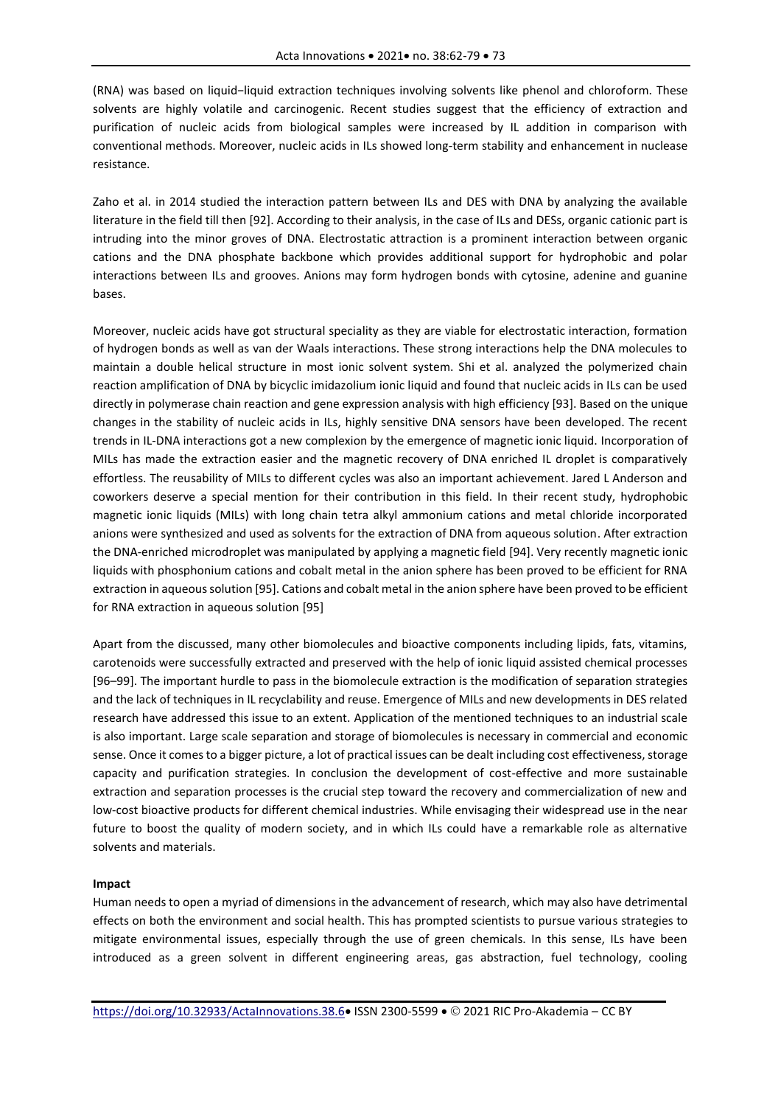(RNA) was based on liquid−liquid extraction techniques involving solvents like phenol and chloroform. These solvents are highly volatile and carcinogenic. Recent studies suggest that the efficiency of extraction and purification of nucleic acids from biological samples were increased by IL addition in comparison with conventional methods. Moreover, nucleic acids in ILs showed long-term stability and enhancement in nuclease resistance.

Zaho et al. in 2014 studied the interaction pattern between ILs and DES with DNA by analyzing the available literature in the field till then [92]. According to their analysis, in the case of ILs and DESs, organic cationic part is intruding into the minor groves of DNA. Electrostatic attraction is a prominent interaction between organic cations and the DNA phosphate backbone which provides additional support for hydrophobic and polar interactions between ILs and grooves. Anions may form hydrogen bonds with cytosine, adenine and guanine bases.

Moreover, nucleic acids have got structural speciality as they are viable for electrostatic interaction, formation of hydrogen bonds as well as van der Waals interactions. These strong interactions help the DNA molecules to maintain a double helical structure in most ionic solvent system. Shi et al. analyzed the polymerized chain reaction amplification of DNA by bicyclic imidazolium ionic liquid and found that nucleic acids in ILs can be used directly in polymerase chain reaction and gene expression analysis with high efficiency [93]. Based on the unique changes in the stability of nucleic acids in ILs, highly sensitive DNA sensors have been developed. The recent trends in IL-DNA interactions got a new complexion by the emergence of magnetic ionic liquid. Incorporation of MILs has made the extraction easier and the magnetic recovery of DNA enriched IL droplet is comparatively effortless. The reusability of MILs to different cycles was also an important achievement. Jared L Anderson and coworkers deserve a special mention for their contribution in this field. In their recent study, hydrophobic magnetic ionic liquids (MILs) with long chain tetra alkyl ammonium cations and metal chloride incorporated anions were synthesized and used as solvents for the extraction of DNA from aqueous solution. After extraction the DNA-enriched microdroplet was manipulated by applying a magnetic field [94]. Very recently magnetic ionic liquids with phosphonium cations and cobalt metal in the anion sphere has been proved to be efficient for RNA extraction in aqueous solution [95]. Cations and cobalt metal in the anion sphere have been proved to be efficient for RNA extraction in aqueous solution [95]

Apart from the discussed, many other biomolecules and bioactive components including lipids, fats, vitamins, carotenoids were successfully extracted and preserved with the help of ionic liquid assisted chemical processes [96–99]. The important hurdle to pass in the biomolecule extraction is the modification of separation strategies and the lack of techniques in IL recyclability and reuse. Emergence of MILs and new developments in DES related research have addressed this issue to an extent. Application of the mentioned techniques to an industrial scale is also important. Large scale separation and storage of biomolecules is necessary in commercial and economic sense. Once it comes to a bigger picture, a lot of practical issues can be dealt including cost effectiveness, storage capacity and purification strategies. In conclusion the development of cost-effective and more sustainable extraction and separation processes is the crucial step toward the recovery and commercialization of new and low-cost bioactive products for different chemical industries. While envisaging their widespread use in the near future to boost the quality of modern society, and in which ILs could have a remarkable role as alternative solvents and materials.

### **Impact**

Human needs to open a myriad of dimensions in the advancement of research, which may also have detrimental effects on both the environment and social health. This has prompted scientists to pursue various strategies to mitigate environmental issues, especially through the use of green chemicals. In this sense, ILs have been introduced as a green solvent in different engineering areas, gas abstraction, fuel technology, cooling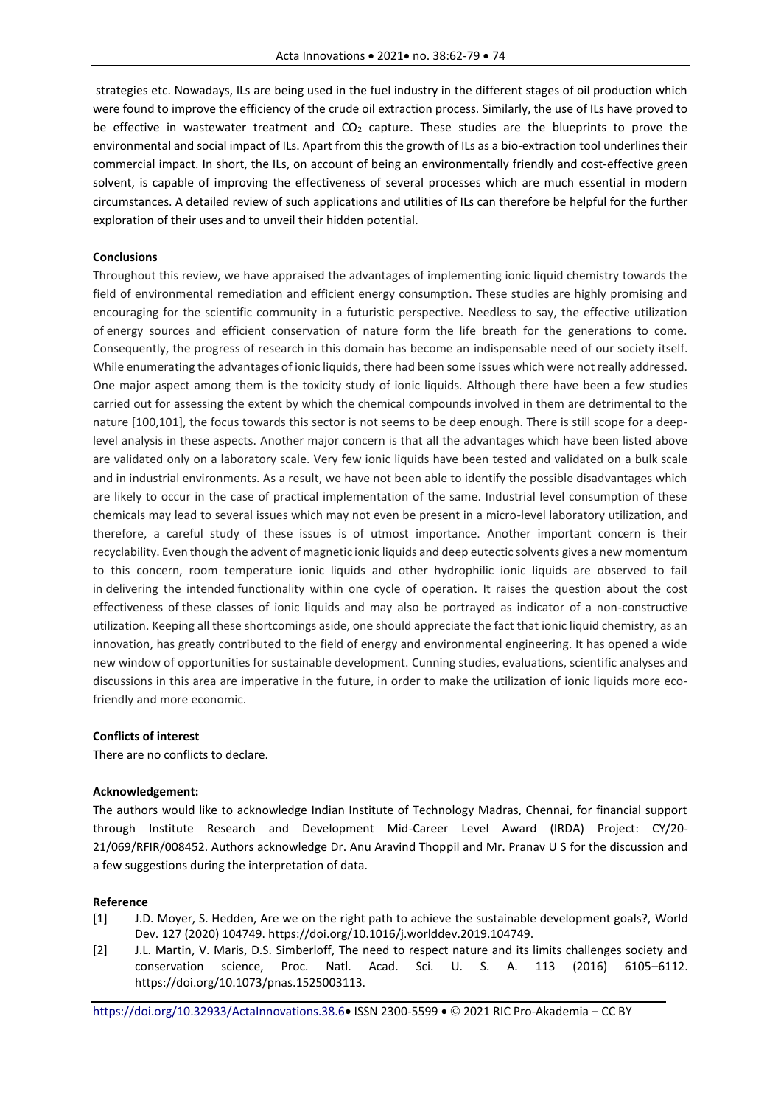strategies etc. Nowadays, ILs are being used in the fuel industry in the different stages of oil production which were found to improve the efficiency of the crude oil extraction process. Similarly, the use of ILs have proved to be effective in wastewater treatment and  $CO<sub>2</sub>$  capture. These studies are the blueprints to prove the environmental and social impact of ILs. Apart from this the growth of ILs as a bio-extraction tool underlines their commercial impact. In short, the ILs, on account of being an environmentally friendly and cost-effective green solvent, is capable of improving the effectiveness of several processes which are much essential in modern circumstances. A detailed review of such applications and utilities of ILs can therefore be helpful for the further exploration of their uses and to unveil their hidden potential.

#### **Conclusions**

Throughout this review, we have appraised the advantages of implementing ionic liquid chemistry towards the field of environmental remediation and efficient energy consumption. These studies are highly promising and encouraging for the scientific community in a futuristic perspective. Needless to say, the effective utilization of energy sources and efficient conservation of nature form the life breath for the generations to come. Consequently, the progress of research in this domain has become an indispensable need of our society itself. While enumerating the advantages of ionic liquids, there had been some issues which were not really addressed. One major aspect among them is the toxicity study of ionic liquids. Although there have been a few studies carried out for assessing the extent by which the chemical compounds involved in them are detrimental to the nature [100,101], the focus towards this sector is not seems to be deep enough. There is still scope for a deeplevel analysis in these aspects. Another major concern is that all the advantages which have been listed above are validated only on a laboratory scale. Very few ionic liquids have been tested and validated on a bulk scale and in industrial environments. As a result, we have not been able to identify the possible disadvantages which are likely to occur in the case of practical implementation of the same. Industrial level consumption of these chemicals may lead to several issues which may not even be present in a micro-level laboratory utilization, and therefore, a careful study of these issues is of utmost importance. Another important concern is their recyclability. Even though the advent of magnetic ionic liquids and deep eutectic solvents gives a new momentum to this concern, room temperature ionic liquids and other hydrophilic ionic liquids are observed to fail in delivering the intended functionality within one cycle of operation. It raises the question about the cost effectiveness of these classes of ionic liquids and may also be portrayed as indicator of a non-constructive utilization. Keeping all these shortcomings aside, one should appreciate the fact that ionic liquid chemistry, as an innovation, has greatly contributed to the field of energy and environmental engineering. It has opened a wide new window of opportunities for sustainable development. Cunning studies, evaluations, scientific analyses and discussions in this area are imperative in the future, in order to make the utilization of ionic liquids more ecofriendly and more economic.

#### **Conflicts of interest**

There are no conflicts to declare.

#### **Acknowledgement:**

The authors would like to acknowledge Indian Institute of Technology Madras, Chennai, for financial support through Institute Research and Development Mid-Career Level Award (IRDA) Project: CY/20- 21/069/RFIR/008452. Authors acknowledge Dr. Anu Aravind Thoppil and Mr. Pranav U S for the discussion and a few suggestions during the interpretation of data.

### **Reference**

- [1] J.D. Moyer, S. Hedden, Are we on the right path to achieve the sustainable development goals?, World Dev. 127 (2020) 104749. https://doi.org/10.1016/j.worlddev.2019.104749.
- [2] J.L. Martin, V. Maris, D.S. Simberloff, The need to respect nature and its limits challenges society and conservation science, Proc. Natl. Acad. Sci. U. S. A. 113 (2016) 6105–6112. https://doi.org/10.1073/pnas.1525003113.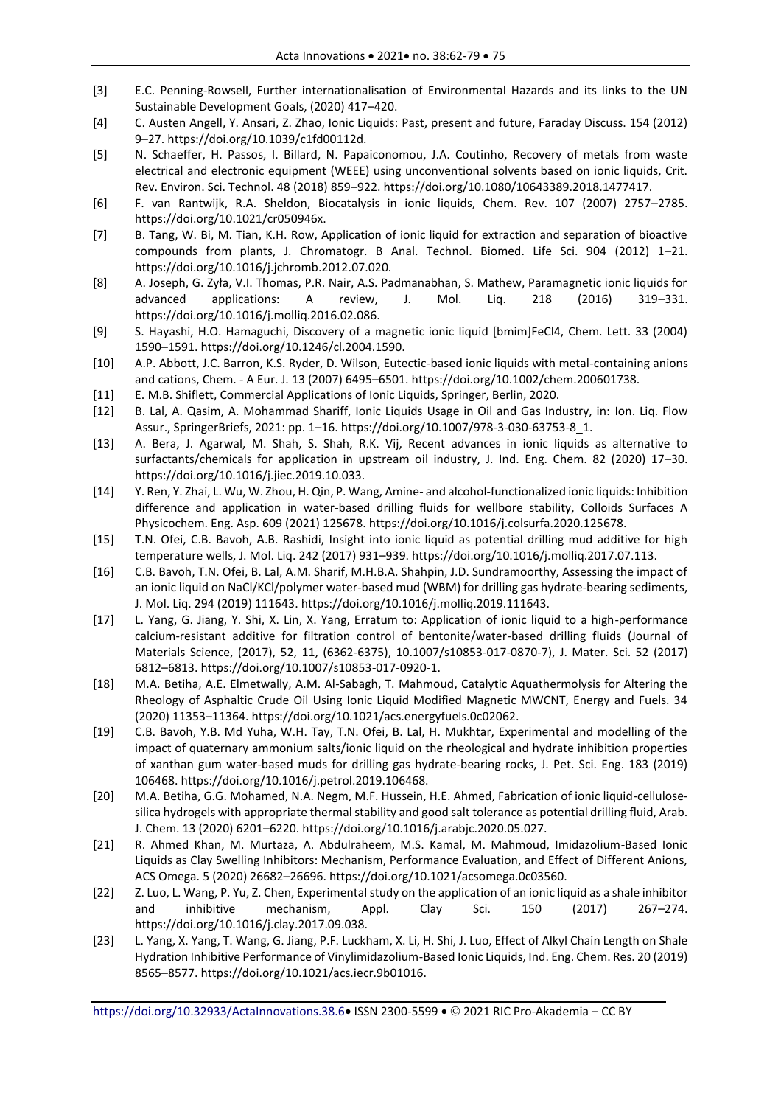- [3] E.C. Penning-Rowsell, Further internationalisation of Environmental Hazards and its links to the UN Sustainable Development Goals, (2020) 417–420.
- [4] C. Austen Angell, Y. Ansari, Z. Zhao, Ionic Liquids: Past, present and future, Faraday Discuss. 154 (2012) 9–27. https://doi.org/10.1039/c1fd00112d.
- [5] N. Schaeffer, H. Passos, I. Billard, N. Papaiconomou, J.A. Coutinho, Recovery of metals from waste electrical and electronic equipment (WEEE) using unconventional solvents based on ionic liquids, Crit. Rev. Environ. Sci. Technol. 48 (2018) 859–922. https://doi.org/10.1080/10643389.2018.1477417.
- [6] F. van Rantwijk, R.A. Sheldon, Biocatalysis in ionic liquids, Chem. Rev. 107 (2007) 2757–2785. https://doi.org/10.1021/cr050946x.
- [7] B. Tang, W. Bi, M. Tian, K.H. Row, Application of ionic liquid for extraction and separation of bioactive compounds from plants, J. Chromatogr. B Anal. Technol. Biomed. Life Sci. 904 (2012) 1–21. https://doi.org/10.1016/j.jchromb.2012.07.020.
- [8] A. Joseph, G. Zyła, V.I. Thomas, P.R. Nair, A.S. Padmanabhan, S. Mathew, Paramagnetic ionic liquids for advanced applications: A review, J. Mol. Liq. 218 (2016) 319–331. https://doi.org/10.1016/j.molliq.2016.02.086.
- [9] S. Hayashi, H.O. Hamaguchi, Discovery of a magnetic ionic liquid [bmim]FeCl4, Chem. Lett. 33 (2004) 1590–1591. https://doi.org/10.1246/cl.2004.1590.
- [10] A.P. Abbott, J.C. Barron, K.S. Ryder, D. Wilson, Eutectic-based ionic liquids with metal-containing anions and cations, Chem. - A Eur. J. 13 (2007) 6495–6501. https://doi.org/10.1002/chem.200601738.
- [11] E. M.B. Shiflett, Commercial Applications of Ionic Liquids, Springer, Berlin, 2020.
- [12] B. Lal, A. Qasim, A. Mohammad Shariff, Ionic Liquids Usage in Oil and Gas Industry, in: Ion. Liq. Flow Assur., SpringerBriefs, 2021: pp. 1–16. https://doi.org/10.1007/978-3-030-63753-8\_1.
- [13] A. Bera, J. Agarwal, M. Shah, S. Shah, R.K. Vij, Recent advances in ionic liquids as alternative to surfactants/chemicals for application in upstream oil industry, J. Ind. Eng. Chem. 82 (2020) 17–30. https://doi.org/10.1016/j.jiec.2019.10.033.
- [14] Y. Ren, Y. Zhai, L. Wu, W. Zhou, H. Qin, P. Wang, Amine- and alcohol-functionalized ionic liquids: Inhibition difference and application in water-based drilling fluids for wellbore stability, Colloids Surfaces A Physicochem. Eng. Asp. 609 (2021) 125678. https://doi.org/10.1016/j.colsurfa.2020.125678.
- [15] T.N. Ofei, C.B. Bavoh, A.B. Rashidi, Insight into ionic liquid as potential drilling mud additive for high temperature wells, J. Mol. Liq. 242 (2017) 931–939. https://doi.org/10.1016/j.molliq.2017.07.113.
- [16] C.B. Bavoh, T.N. Ofei, B. Lal, A.M. Sharif, M.H.B.A. Shahpin, J.D. Sundramoorthy, Assessing the impact of an ionic liquid on NaCl/KCl/polymer water-based mud (WBM) for drilling gas hydrate-bearing sediments, J. Mol. Liq. 294 (2019) 111643. https://doi.org/10.1016/j.molliq.2019.111643.
- [17] L. Yang, G. Jiang, Y. Shi, X. Lin, X. Yang, Erratum to: Application of ionic liquid to a high-performance calcium-resistant additive for filtration control of bentonite/water-based drilling fluids (Journal of Materials Science, (2017), 52, 11, (6362-6375), 10.1007/s10853-017-0870-7), J. Mater. Sci. 52 (2017) 6812–6813. https://doi.org/10.1007/s10853-017-0920-1.
- [18] M.A. Betiha, A.E. Elmetwally, A.M. Al-Sabagh, T. Mahmoud, Catalytic Aquathermolysis for Altering the Rheology of Asphaltic Crude Oil Using Ionic Liquid Modified Magnetic MWCNT, Energy and Fuels. 34 (2020) 11353–11364. https://doi.org/10.1021/acs.energyfuels.0c02062.
- [19] C.B. Bavoh, Y.B. Md Yuha, W.H. Tay, T.N. Ofei, B. Lal, H. Mukhtar, Experimental and modelling of the impact of quaternary ammonium salts/ionic liquid on the rheological and hydrate inhibition properties of xanthan gum water-based muds for drilling gas hydrate-bearing rocks, J. Pet. Sci. Eng. 183 (2019) 106468. https://doi.org/10.1016/j.petrol.2019.106468.
- [20] M.A. Betiha, G.G. Mohamed, N.A. Negm, M.F. Hussein, H.E. Ahmed, Fabrication of ionic liquid-cellulosesilica hydrogels with appropriate thermal stability and good salt tolerance as potential drilling fluid, Arab. J. Chem. 13 (2020) 6201–6220. https://doi.org/10.1016/j.arabjc.2020.05.027.
- [21] R. Ahmed Khan, M. Murtaza, A. Abdulraheem, M.S. Kamal, M. Mahmoud, Imidazolium-Based Ionic Liquids as Clay Swelling Inhibitors: Mechanism, Performance Evaluation, and Effect of Different Anions, ACS Omega. 5 (2020) 26682–26696. https://doi.org/10.1021/acsomega.0c03560.
- [22] Z. Luo, L. Wang, P. Yu, Z. Chen, Experimental study on the application of an ionic liquid as a shale inhibitor and inhibitive mechanism, Appl. Clay Sci. 150 (2017) 267–274. https://doi.org/10.1016/j.clay.2017.09.038.
- [23] L. Yang, X. Yang, T. Wang, G. Jiang, P.F. Luckham, X. Li, H. Shi, J. Luo, Effect of Alkyl Chain Length on Shale Hydration Inhibitive Performance of Vinylimidazolium-Based Ionic Liquids, Ind. Eng. Chem. Res. 20 (2019) 8565–8577. https://doi.org/10.1021/acs.iecr.9b01016.

<https://doi.org/10.32933/ActaInnovations.38.6> ISSN 2300-5599 2021 RIC Pro-Akademia – CC BY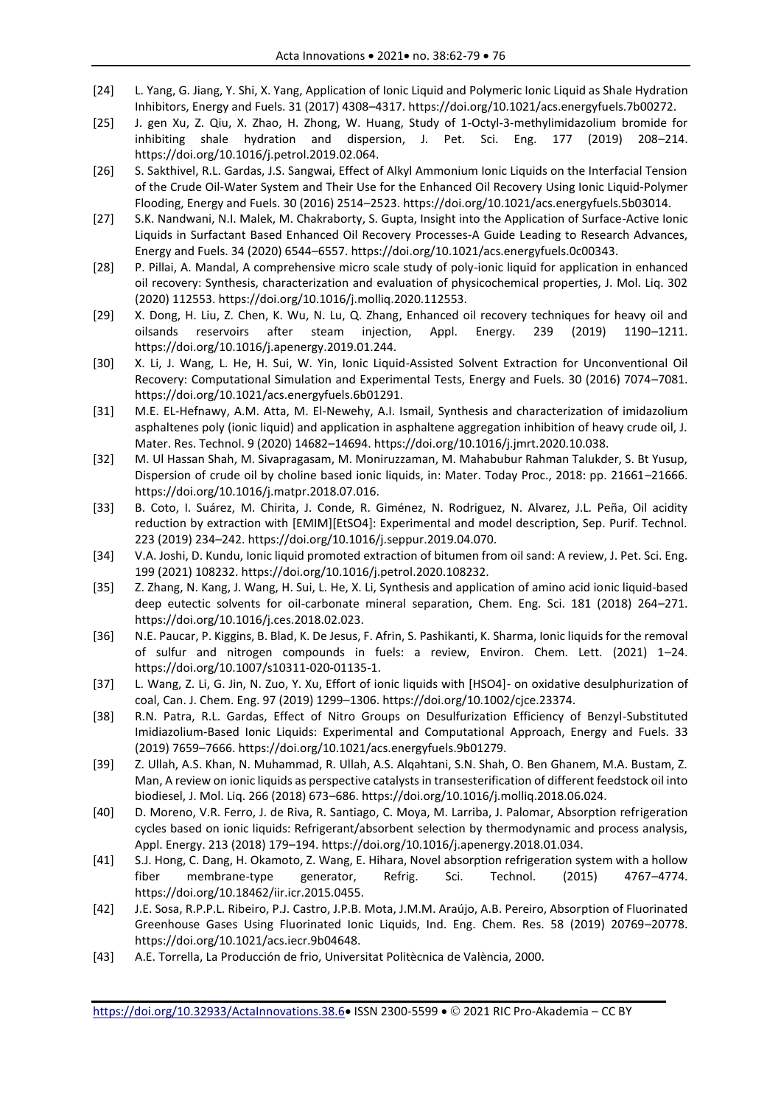- [24] L. Yang, G. Jiang, Y. Shi, X. Yang, Application of Ionic Liquid and Polymeric Ionic Liquid as Shale Hydration Inhibitors, Energy and Fuels. 31 (2017) 4308–4317. https://doi.org/10.1021/acs.energyfuels.7b00272.
- [25] J. gen Xu, Z. Qiu, X. Zhao, H. Zhong, W. Huang, Study of 1-Octyl-3-methylimidazolium bromide for inhibiting shale hydration and dispersion, J. Pet. Sci. Eng. 177 (2019) 208–214. https://doi.org/10.1016/j.petrol.2019.02.064.
- [26] S. Sakthivel, R.L. Gardas, J.S. Sangwai, Effect of Alkyl Ammonium Ionic Liquids on the Interfacial Tension of the Crude Oil-Water System and Their Use for the Enhanced Oil Recovery Using Ionic Liquid-Polymer Flooding, Energy and Fuels. 30 (2016) 2514–2523. https://doi.org/10.1021/acs.energyfuels.5b03014.
- [27] S.K. Nandwani, N.I. Malek, M. Chakraborty, S. Gupta, Insight into the Application of Surface-Active Ionic Liquids in Surfactant Based Enhanced Oil Recovery Processes-A Guide Leading to Research Advances, Energy and Fuels. 34 (2020) 6544–6557. https://doi.org/10.1021/acs.energyfuels.0c00343.
- [28] P. Pillai, A. Mandal, A comprehensive micro scale study of poly-ionic liquid for application in enhanced oil recovery: Synthesis, characterization and evaluation of physicochemical properties, J. Mol. Liq. 302 (2020) 112553. https://doi.org/10.1016/j.molliq.2020.112553.
- [29] X. Dong, H. Liu, Z. Chen, K. Wu, N. Lu, Q. Zhang, Enhanced oil recovery techniques for heavy oil and oilsands reservoirs after steam injection, Appl. Energy. 239 (2019) 1190–1211. https://doi.org/10.1016/j.apenergy.2019.01.244.
- [30] X. Li, J. Wang, L. He, H. Sui, W. Yin, Ionic Liquid-Assisted Solvent Extraction for Unconventional Oil Recovery: Computational Simulation and Experimental Tests, Energy and Fuels. 30 (2016) 7074–7081. https://doi.org/10.1021/acs.energyfuels.6b01291.
- [31] M.E. EL-Hefnawy, A.M. Atta, M. El-Newehy, A.I. Ismail, Synthesis and characterization of imidazolium asphaltenes poly (ionic liquid) and application in asphaltene aggregation inhibition of heavy crude oil, J. Mater. Res. Technol. 9 (2020) 14682–14694. https://doi.org/10.1016/j.jmrt.2020.10.038.
- [32] M. Ul Hassan Shah, M. Sivapragasam, M. Moniruzzaman, M. Mahabubur Rahman Talukder, S. Bt Yusup, Dispersion of crude oil by choline based ionic liquids, in: Mater. Today Proc., 2018: pp. 21661–21666. https://doi.org/10.1016/j.matpr.2018.07.016.
- [33] B. Coto, I. Suárez, M. Chirita, J. Conde, R. Giménez, N. Rodriguez, N. Alvarez, J.L. Peña, Oil acidity reduction by extraction with [EMIM][EtSO4]: Experimental and model description, Sep. Purif. Technol. 223 (2019) 234–242. https://doi.org/10.1016/j.seppur.2019.04.070.
- [34] V.A. Joshi, D. Kundu, Ionic liquid promoted extraction of bitumen from oil sand: A review, J. Pet. Sci. Eng. 199 (2021) 108232. https://doi.org/10.1016/j.petrol.2020.108232.
- [35] Z. Zhang, N. Kang, J. Wang, H. Sui, L. He, X. Li, Synthesis and application of amino acid ionic liquid-based deep eutectic solvents for oil-carbonate mineral separation, Chem. Eng. Sci. 181 (2018) 264–271. https://doi.org/10.1016/j.ces.2018.02.023.
- [36] N.E. Paucar, P. Kiggins, B. Blad, K. De Jesus, F. Afrin, S. Pashikanti, K. Sharma, Ionic liquids for the removal of sulfur and nitrogen compounds in fuels: a review, Environ. Chem. Lett. (2021) 1–24. https://doi.org/10.1007/s10311-020-01135-1.
- [37] L. Wang, Z. Li, G. Jin, N. Zuo, Y. Xu, Effort of ionic liquids with [HSO4]- on oxidative desulphurization of coal, Can. J. Chem. Eng. 97 (2019) 1299–1306. https://doi.org/10.1002/cjce.23374.
- [38] R.N. Patra, R.L. Gardas, Effect of Nitro Groups on Desulfurization Efficiency of Benzyl-Substituted Imidiazolium-Based Ionic Liquids: Experimental and Computational Approach, Energy and Fuels. 33 (2019) 7659–7666. https://doi.org/10.1021/acs.energyfuels.9b01279.
- [39] Z. Ullah, A.S. Khan, N. Muhammad, R. Ullah, A.S. Alqahtani, S.N. Shah, O. Ben Ghanem, M.A. Bustam, Z. Man, A review on ionic liquids as perspective catalysts in transesterification of different feedstock oil into biodiesel, J. Mol. Liq. 266 (2018) 673–686. https://doi.org/10.1016/j.molliq.2018.06.024.
- [40] D. Moreno, V.R. Ferro, J. de Riva, R. Santiago, C. Moya, M. Larriba, J. Palomar, Absorption refrigeration cycles based on ionic liquids: Refrigerant/absorbent selection by thermodynamic and process analysis, Appl. Energy. 213 (2018) 179–194. https://doi.org/10.1016/j.apenergy.2018.01.034.
- [41] S.J. Hong, C. Dang, H. Okamoto, Z. Wang, E. Hihara, Novel absorption refrigeration system with a hollow fiber membrane-type generator, Refrig. Sci. Technol. (2015) 4767–4774. https://doi.org/10.18462/iir.icr.2015.0455.
- [42] J.E. Sosa, R.P.P.L. Ribeiro, P.J. Castro, J.P.B. Mota, J.M.M. Araújo, A.B. Pereiro, Absorption of Fluorinated Greenhouse Gases Using Fluorinated Ionic Liquids, Ind. Eng. Chem. Res. 58 (2019) 20769–20778. https://doi.org/10.1021/acs.iecr.9b04648.
- [43] A.E. Torrella, La Producción de frio, Universitat Politècnica de València, 2000.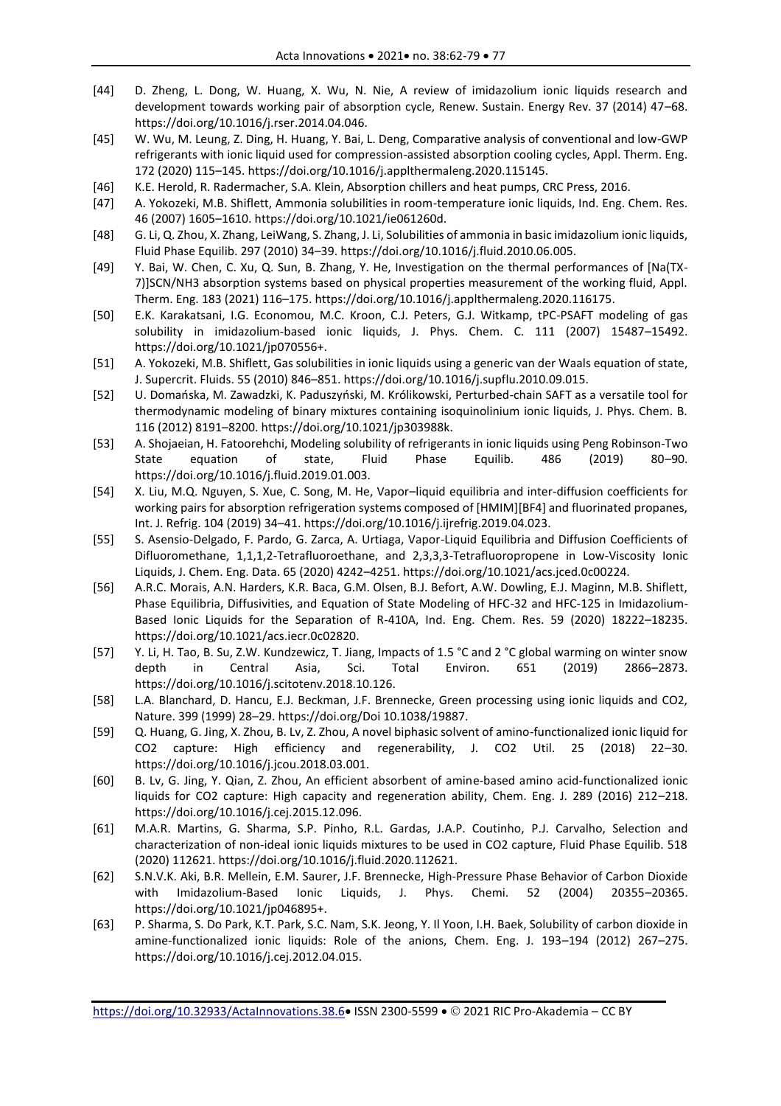- [44] D. Zheng, L. Dong, W. Huang, X. Wu, N. Nie, A review of imidazolium ionic liquids research and development towards working pair of absorption cycle, Renew. Sustain. Energy Rev. 37 (2014) 47–68. https://doi.org/10.1016/j.rser.2014.04.046.
- [45] W. Wu, M. Leung, Z. Ding, H. Huang, Y. Bai, L. Deng, Comparative analysis of conventional and low-GWP refrigerants with ionic liquid used for compression-assisted absorption cooling cycles, Appl. Therm. Eng. 172 (2020) 115–145. https://doi.org/10.1016/j.applthermaleng.2020.115145.
- [46] K.E. Herold, R. Radermacher, S.A. Klein, Absorption chillers and heat pumps, CRC Press, 2016.
- [47] A. Yokozeki, M.B. Shiflett, Ammonia solubilities in room-temperature ionic liquids, Ind. Eng. Chem. Res. 46 (2007) 1605–1610. https://doi.org/10.1021/ie061260d.
- [48] G. Li, Q. Zhou, X. Zhang, LeiWang, S. Zhang, J. Li, Solubilities of ammonia in basic imidazolium ionic liquids, Fluid Phase Equilib. 297 (2010) 34–39. https://doi.org/10.1016/j.fluid.2010.06.005.
- [49] Y. Bai, W. Chen, C. Xu, Q. Sun, B. Zhang, Y. He, Investigation on the thermal performances of [Na(TX-7)]SCN/NH3 absorption systems based on physical properties measurement of the working fluid, Appl. Therm. Eng. 183 (2021) 116–175. https://doi.org/10.1016/j.applthermaleng.2020.116175.
- [50] E.K. Karakatsani, I.G. Economou, M.C. Kroon, C.J. Peters, G.J. Witkamp, tPC-PSAFT modeling of gas solubility in imidazolium-based ionic liquids, J. Phys. Chem. C. 111 (2007) 15487–15492. https://doi.org/10.1021/jp070556+.
- [51] A. Yokozeki, M.B. Shiflett, Gas solubilities in ionic liquids using a generic van der Waals equation of state, J. Supercrit. Fluids. 55 (2010) 846–851. https://doi.org/10.1016/j.supflu.2010.09.015.
- [52] U. Domańska, M. Zawadzki, K. Paduszyński, M. Królikowski, Perturbed-chain SAFT as a versatile tool for thermodynamic modeling of binary mixtures containing isoquinolinium ionic liquids, J. Phys. Chem. B. 116 (2012) 8191–8200. https://doi.org/10.1021/jp303988k.
- [53] A. Shojaeian, H. Fatoorehchi, Modeling solubility of refrigerants in ionic liquids using Peng Robinson-Two State equation of state, Fluid Phase Equilib. 486 (2019) 80–90. https://doi.org/10.1016/j.fluid.2019.01.003.
- [54] X. Liu, M.Q. Nguyen, S. Xue, C. Song, M. He, Vapor–liquid equilibria and inter-diffusion coefficients for working pairs for absorption refrigeration systems composed of [HMIM][BF4] and fluorinated propanes, Int. J. Refrig. 104 (2019) 34–41. https://doi.org/10.1016/j.ijrefrig.2019.04.023.
- [55] S. Asensio-Delgado, F. Pardo, G. Zarca, A. Urtiaga, Vapor-Liquid Equilibria and Diffusion Coefficients of Difluoromethane, 1,1,1,2-Tetrafluoroethane, and 2,3,3,3-Tetrafluoropropene in Low-Viscosity Ionic Liquids, J. Chem. Eng. Data. 65 (2020) 4242–4251. https://doi.org/10.1021/acs.jced.0c00224.
- [56] A.R.C. Morais, A.N. Harders, K.R. Baca, G.M. Olsen, B.J. Befort, A.W. Dowling, E.J. Maginn, M.B. Shiflett, Phase Equilibria, Diffusivities, and Equation of State Modeling of HFC-32 and HFC-125 in Imidazolium-Based Ionic Liquids for the Separation of R-410A, Ind. Eng. Chem. Res. 59 (2020) 18222–18235. https://doi.org/10.1021/acs.iecr.0c02820.
- [57] Y. Li, H. Tao, B. Su, Z.W. Kundzewicz, T. Jiang, Impacts of 1.5 °C and 2 °C global warming on winter snow depth in Central Asia, Sci. Total Environ. 651 (2019) 2866–2873. https://doi.org/10.1016/j.scitotenv.2018.10.126.
- [58] L.A. Blanchard, D. Hancu, E.J. Beckman, J.F. Brennecke, Green processing using ionic liquids and CO2, Nature. 399 (1999) 28–29. https://doi.org/Doi 10.1038/19887.
- [59] Q. Huang, G. Jing, X. Zhou, B. Lv, Z. Zhou, A novel biphasic solvent of amino-functionalized ionic liquid for CO2 capture: High efficiency and regenerability, J. CO2 Util. 25 (2018) 22–30. https://doi.org/10.1016/j.jcou.2018.03.001.
- [60] B. Lv, G. Jing, Y. Qian, Z. Zhou, An efficient absorbent of amine-based amino acid-functionalized ionic liquids for CO2 capture: High capacity and regeneration ability, Chem. Eng. J. 289 (2016) 212–218. https://doi.org/10.1016/j.cej.2015.12.096.
- [61] M.A.R. Martins, G. Sharma, S.P. Pinho, R.L. Gardas, J.A.P. Coutinho, P.J. Carvalho, Selection and characterization of non-ideal ionic liquids mixtures to be used in CO2 capture, Fluid Phase Equilib. 518 (2020) 112621. https://doi.org/10.1016/j.fluid.2020.112621.
- [62] S.N.V.K. Aki, B.R. Mellein, E.M. Saurer, J.F. Brennecke, High-Pressure Phase Behavior of Carbon Dioxide with Imidazolium-Based Ionic Liquids, J. Phys. Chemi. 52 (2004) 20355–20365. https://doi.org/10.1021/jp046895+.
- [63] P. Sharma, S. Do Park, K.T. Park, S.C. Nam, S.K. Jeong, Y. Il Yoon, I.H. Baek, Solubility of carbon dioxide in amine-functionalized ionic liquids: Role of the anions, Chem. Eng. J. 193–194 (2012) 267–275. https://doi.org/10.1016/j.cej.2012.04.015.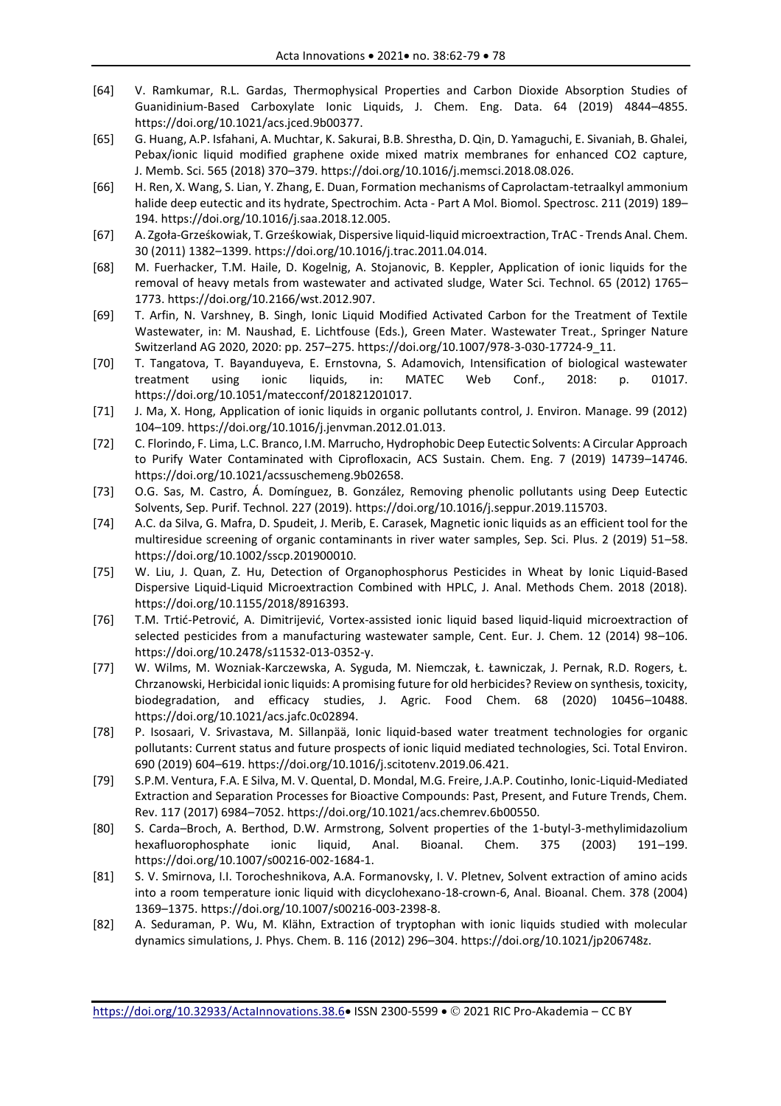- [64] V. Ramkumar, R.L. Gardas, Thermophysical Properties and Carbon Dioxide Absorption Studies of Guanidinium-Based Carboxylate Ionic Liquids, J. Chem. Eng. Data. 64 (2019) 4844–4855. https://doi.org/10.1021/acs.jced.9b00377.
- [65] G. Huang, A.P. Isfahani, A. Muchtar, K. Sakurai, B.B. Shrestha, D. Qin, D. Yamaguchi, E. Sivaniah, B. Ghalei, Pebax/ionic liquid modified graphene oxide mixed matrix membranes for enhanced CO2 capture, J. Memb. Sci. 565 (2018) 370–379. https://doi.org/10.1016/j.memsci.2018.08.026.
- [66] H. Ren, X. Wang, S. Lian, Y. Zhang, E. Duan, Formation mechanisms of Caprolactam-tetraalkyl ammonium halide deep eutectic and its hydrate, Spectrochim. Acta - Part A Mol. Biomol. Spectrosc. 211 (2019) 189-194. https://doi.org/10.1016/j.saa.2018.12.005.
- [67] A. Zgoła-Grześkowiak, T. Grześkowiak, Dispersive liquid-liquid microextraction, TrAC Trends Anal. Chem. 30 (2011) 1382–1399. https://doi.org/10.1016/j.trac.2011.04.014.
- [68] M. Fuerhacker, T.M. Haile, D. Kogelnig, A. Stojanovic, B. Keppler, Application of ionic liquids for the removal of heavy metals from wastewater and activated sludge, Water Sci. Technol. 65 (2012) 1765– 1773. https://doi.org/10.2166/wst.2012.907.
- [69] T. Arfin, N. Varshney, B. Singh, Ionic Liquid Modified Activated Carbon for the Treatment of Textile Wastewater, in: M. Naushad, E. Lichtfouse (Eds.), Green Mater. Wastewater Treat., Springer Nature Switzerland AG 2020, 2020: pp. 257–275. https://doi.org/10.1007/978-3-030-17724-9\_11.
- [70] T. Tangatova, T. Bayanduyeva, E. Ernstovna, S. Adamovich, Intensification of biological wastewater treatment using ionic liquids, in: MATEC Web Conf., 2018: p. 01017. https://doi.org/10.1051/matecconf/201821201017.
- [71] J. Ma, X. Hong, Application of ionic liquids in organic pollutants control, J. Environ. Manage. 99 (2012) 104–109. https://doi.org/10.1016/j.jenvman.2012.01.013.
- [72] C. Florindo, F. Lima, L.C. Branco, I.M. Marrucho, Hydrophobic Deep Eutectic Solvents: A Circular Approach to Purify Water Contaminated with Ciprofloxacin, ACS Sustain. Chem. Eng. 7 (2019) 14739–14746. https://doi.org/10.1021/acssuschemeng.9b02658.
- [73] O.G. Sas, M. Castro, Á. Domínguez, B. González, Removing phenolic pollutants using Deep Eutectic Solvents, Sep. Purif. Technol. 227 (2019). https://doi.org/10.1016/j.seppur.2019.115703.
- [74] A.C. da Silva, G. Mafra, D. Spudeit, J. Merib, E. Carasek, Magnetic ionic liquids as an efficient tool for the multiresidue screening of organic contaminants in river water samples, Sep. Sci. Plus. 2 (2019) 51–58. https://doi.org/10.1002/sscp.201900010.
- [75] W. Liu, J. Quan, Z. Hu, Detection of Organophosphorus Pesticides in Wheat by Ionic Liquid-Based Dispersive Liquid-Liquid Microextraction Combined with HPLC, J. Anal. Methods Chem. 2018 (2018). https://doi.org/10.1155/2018/8916393.
- [76] T.M. Trtić-Petrović, A. Dimitrijević, Vortex-assisted ionic liquid based liquid-liquid microextraction of selected pesticides from a manufacturing wastewater sample, Cent. Eur. J. Chem. 12 (2014) 98–106. https://doi.org/10.2478/s11532-013-0352-y.
- [77] W. Wilms, M. Wozniak-Karczewska, A. Syguda, M. Niemczak, Ł. Ławniczak, J. Pernak, R.D. Rogers, Ł. Chrzanowski, Herbicidal ionic liquids: A promising future for old herbicides? Review on synthesis, toxicity, biodegradation, and efficacy studies, J. Agric. Food Chem. 68 (2020) 10456–10488. https://doi.org/10.1021/acs.jafc.0c02894.
- [78] P. Isosaari, V. Srivastava, M. Sillanpää, Ionic liquid-based water treatment technologies for organic pollutants: Current status and future prospects of ionic liquid mediated technologies, Sci. Total Environ. 690 (2019) 604–619. https://doi.org/10.1016/j.scitotenv.2019.06.421.
- [79] S.P.M. Ventura, F.A. E Silva, M. V. Quental, D. Mondal, M.G. Freire, J.A.P. Coutinho, Ionic-Liquid-Mediated Extraction and Separation Processes for Bioactive Compounds: Past, Present, and Future Trends, Chem. Rev. 117 (2017) 6984–7052. https://doi.org/10.1021/acs.chemrev.6b00550.
- [80] S. Carda–Broch, A. Berthod, D.W. Armstrong, Solvent properties of the 1-butyl-3-methylimidazolium hexafluorophosphate ionic liquid, Anal. Bioanal. Chem. 375 (2003) 191–199. https://doi.org/10.1007/s00216-002-1684-1.
- [81] S. V. Smirnova, I.I. Torocheshnikova, A.A. Formanovsky, I. V. Pletnev, Solvent extraction of amino acids into a room temperature ionic liquid with dicyclohexano-18-crown-6, Anal. Bioanal. Chem. 378 (2004) 1369–1375. https://doi.org/10.1007/s00216-003-2398-8.
- [82] A. Seduraman, P. Wu, M. Klähn, Extraction of tryptophan with ionic liquids studied with molecular dynamics simulations, J. Phys. Chem. B. 116 (2012) 296–304. https://doi.org/10.1021/jp206748z.